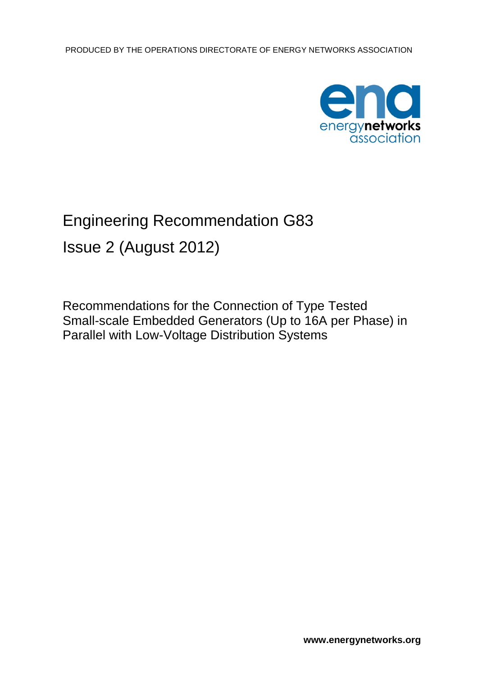

# Engineering Recommendation G83

Issue 2 (August 2012)

Recommendations for the Connection of Type Tested Small-scale Embedded Generators (Up to 16A per Phase) in Parallel with Low-Voltage Distribution Systems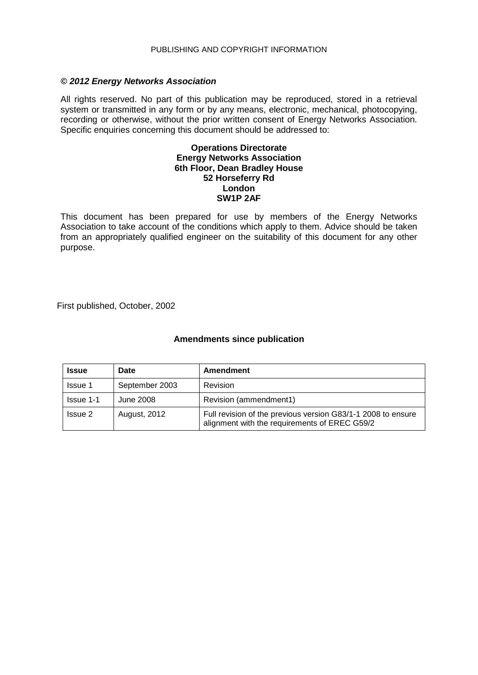#### PUBLISHING AND COPYRIGHT INFORMATION

#### *© 2012 Energy Networks Association*

All rights reserved. No part of this publication may be reproduced, stored in a retrieval system or transmitted in any form or by any means, electronic, mechanical, photocopying, recording or otherwise, without the prior written consent of Energy Networks Association. Specific enquiries concerning this document should be addressed to:

#### **Operations Directorate Energy Networks Association 6th Floor, Dean Bradley House 52 Horseferry Rd London SW1P 2AF**

This document has been prepared for use by members of the Energy Networks Association to take account of the conditions which apply to them. Advice should be taken from an appropriately qualified engineer on the suitability of this document for any other purpose.

First published, October, 2002

## **Amendments since publication**

| <b>Issue</b>     | Date           | Amendment                                                                                                     |
|------------------|----------------|---------------------------------------------------------------------------------------------------------------|
| <b>Issue 1</b>   | September 2003 | <b>Revision</b>                                                                                               |
| <b>Issue 1-1</b> | June 2008      | Revision (ammendment1)                                                                                        |
| Issue 2          | August, 2012   | Full revision of the previous version G83/1-1 2008 to ensure<br>alignment with the requirements of EREC G59/2 |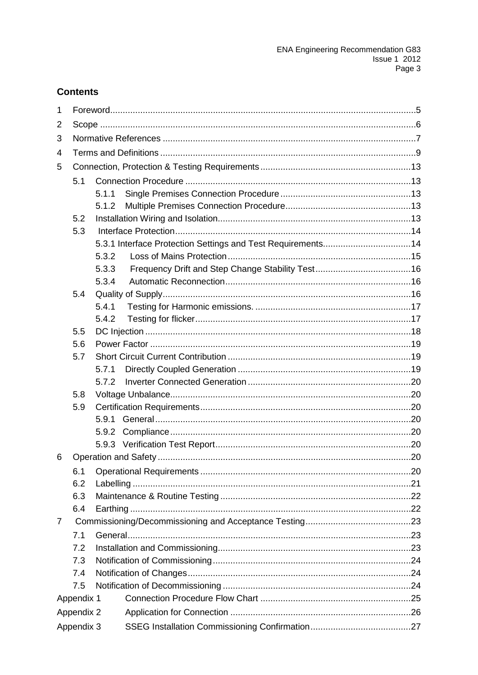## **Contents**

| 1 |            |       |  |  |  |  |  |  |
|---|------------|-------|--|--|--|--|--|--|
| 2 |            |       |  |  |  |  |  |  |
| 3 |            |       |  |  |  |  |  |  |
| 4 |            |       |  |  |  |  |  |  |
| 5 |            |       |  |  |  |  |  |  |
|   | 5.1        |       |  |  |  |  |  |  |
|   |            | 5.1.1 |  |  |  |  |  |  |
|   |            | 5.1.2 |  |  |  |  |  |  |
|   | 5.2        |       |  |  |  |  |  |  |
|   | 5.3        |       |  |  |  |  |  |  |
|   |            |       |  |  |  |  |  |  |
|   |            | 5.3.2 |  |  |  |  |  |  |
|   |            | 5.3.3 |  |  |  |  |  |  |
|   |            | 5.3.4 |  |  |  |  |  |  |
|   | 5.4        |       |  |  |  |  |  |  |
|   |            | 5.4.1 |  |  |  |  |  |  |
|   |            | 5.4.2 |  |  |  |  |  |  |
|   | 5.5        |       |  |  |  |  |  |  |
|   | 5.6        |       |  |  |  |  |  |  |
|   | 5.7        |       |  |  |  |  |  |  |
|   |            | 5.7.1 |  |  |  |  |  |  |
|   |            | 5.7.2 |  |  |  |  |  |  |
|   | 5.8        |       |  |  |  |  |  |  |
|   | 5.9        |       |  |  |  |  |  |  |
|   |            | 5.9.1 |  |  |  |  |  |  |
|   |            | 5.9.2 |  |  |  |  |  |  |
|   |            |       |  |  |  |  |  |  |
| 6 |            |       |  |  |  |  |  |  |
|   | 6.1        |       |  |  |  |  |  |  |
|   | 6.2        |       |  |  |  |  |  |  |
|   | 6.3        |       |  |  |  |  |  |  |
|   | 6.4        |       |  |  |  |  |  |  |
| 7 |            |       |  |  |  |  |  |  |
|   | 7.1        |       |  |  |  |  |  |  |
|   | 7.2        |       |  |  |  |  |  |  |
|   | 7.3        |       |  |  |  |  |  |  |
|   | 7.4        |       |  |  |  |  |  |  |
|   | 7.5        |       |  |  |  |  |  |  |
|   | Appendix 1 |       |  |  |  |  |  |  |
|   | Appendix 2 |       |  |  |  |  |  |  |
|   | Appendix 3 |       |  |  |  |  |  |  |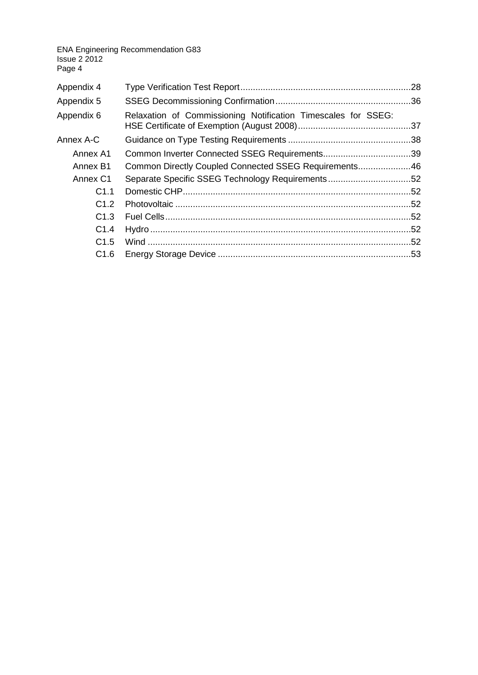| Appendix 4       |                                                               |  |
|------------------|---------------------------------------------------------------|--|
| Appendix 5       |                                                               |  |
| Appendix 6       | Relaxation of Commissioning Notification Timescales for SSEG: |  |
| Annex A-C        |                                                               |  |
| Annex A1         |                                                               |  |
| Annex B1         | Common Directly Coupled Connected SSEG Requirements46         |  |
| Annex C1         | Separate Specific SSEG Technology Requirements52              |  |
| C <sub>1.1</sub> |                                                               |  |
| C1.2             |                                                               |  |
| C1.3             |                                                               |  |
| C1.4             |                                                               |  |
| C1.5             |                                                               |  |
| C <sub>1.6</sub> |                                                               |  |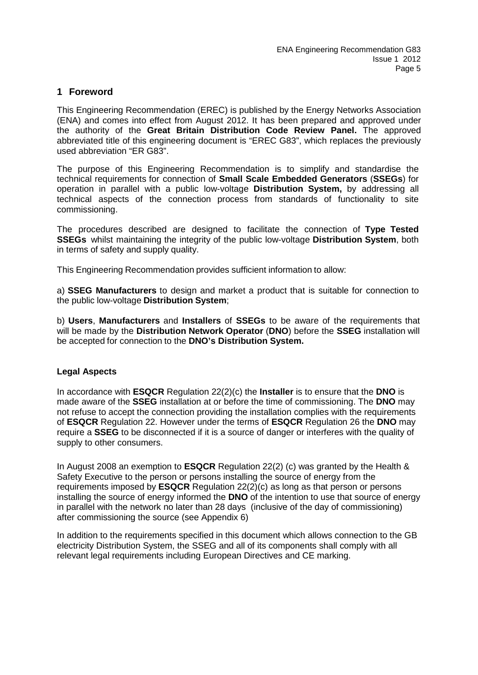## **1 Foreword**

This Engineering Recommendation (EREC) is published by the Energy Networks Association (ENA) and comes into effect from August 2012. It has been prepared and approved under the authority of the **Great Britain Distribution Code Review Panel.** The approved abbreviated title of this engineering document is "EREC G83", which replaces the previously used abbreviation "ER G83".

The purpose of this Engineering Recommendation is to simplify and standardise the technical requirements for connection of **Small Scale Embedded Generators** (**SSEGs**) for operation in parallel with a public low-voltage **Distribution System,** by addressing all technical aspects of the connection process from standards of functionality to site commissioning.

The procedures described are designed to facilitate the connection of **Type Tested SSEGs** whilst maintaining the integrity of the public low-voltage **Distribution System**, both in terms of safety and supply quality.

This Engineering Recommendation provides sufficient information to allow:

a) **SSEG Manufacturers** to design and market a product that is suitable for connection to the public low-voltage **Distribution System**;

b) **Users**, **Manufacturers** and **Installers** of **SSEGs** to be aware of the requirements that will be made by the **Distribution Network Operator** (**DNO**) before the **SSEG** installation will be accepted for connection to the **DNO's Distribution System.**

#### **Legal Aspects**

In accordance with **ESQCR** Regulation 22(2)(c) the **Installer** is to ensure that the **DNO** is made aware of the **SSEG** installation at or before the time of commissioning. The **DNO** may not refuse to accept the connection providing the installation complies with the requirements of **ESQCR** Regulation 22. However under the terms of **ESQCR** Regulation 26 the **DNO** may require a **SSEG** to be disconnected if it is a source of danger or interferes with the quality of supply to other consumers.

In August 2008 an exemption to **ESQCR** Regulation 22(2) (c) was granted by the Health & Safety Executive to the person or persons installing the source of energy from the requirements imposed by **ESQCR** Regulation 22(2)(c) as long as that person or persons installing the source of energy informed the **DNO** of the intention to use that source of energy in parallel with the network no later than 28 days (inclusive of the day of commissioning) after commissioning the source (see Appendix 6)

In addition to the requirements specified in this document which allows connection to the GB electricity Distribution System, the SSEG and all of its components shall comply with all relevant legal requirements including European Directives and CE marking.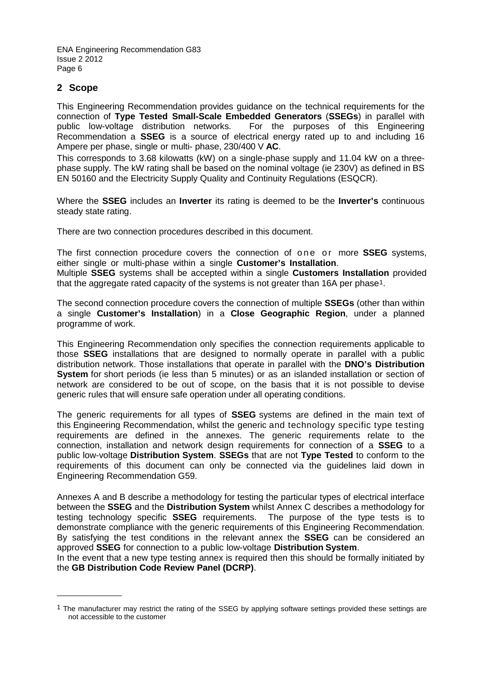## **2 Scope**

————————————————————

This Engineering Recommendation provides guidance on the technical requirements for the connection of **Type Tested Small-Scale Embedded Generators** (**SSEGs**) in parallel with public low-voltage distribution networks. For the purposes of this Engineering Recommendation a **SSEG** is a source of electrical energy rated up to and including 16 Ampere per phase, single or multi- phase, 230/400 V **AC**.

This corresponds to 3.68 kilowatts (kW) on a single-phase supply and 11.04 kW on a threephase supply. The kW rating shall be based on the nominal voltage (ie 230V) as defined in BS EN 50160 and the Electricity Supply Quality and Continuity Regulations (ESQCR).

Where the **SSEG** includes an **Inverter** its rating is deemed to be the **Inverter's** continuous steady state rating.

There are two connection procedures described in this document.

The first connection procedure covers the connection of one or more **SSEG** systems, either single or multi-phase within a single **Customer's Installation**.

Multiple **SSEG** systems shall be accepted within a single **Customers Installation** provided that the aggregate rated capacity of the systems is not greater than [1](#page-5-0)6A per phase<sup>1</sup>.

The second connection procedure covers the connection of multiple **SSEGs** (other than within a single **Customer's Installation**) in a **Close Geographic Region**, under a planned programme of work.

This Engineering Recommendation only specifies the connection requirements applicable to those **SSEG** installations that are designed to normally operate in parallel with a public distribution network. Those installations that operate in parallel with the **DNO's Distribution System** for short periods (ie less than 5 minutes) or as an islanded installation or section of network are considered to be out of scope, on the basis that it is not possible to devise generic rules that will ensure safe operation under all operating conditions.

The generic requirements for all types of **SSEG** systems are defined in the main text of this Engineering Recommendation, whilst the generic and technology specific type testing requirements are defined in the annexes. The generic requirements relate to the connection, installation and network design requirements for connection of a **SSEG** to a public low-voltage **Distribution System**. **SSEGs** that are not **Type Tested** to conform to the requirements of this document can only be connected via the guidelines laid down in Engineering Recommendation G59.

Annexes A and B describe a methodology for testing the particular types of electrical interface between the **SSEG** and the **Distribution System** whilst Annex C describes a methodology for testing technology specific **SSEG** requirements. The purpose of the type tests is to demonstrate compliance with the generic requirements of this Engineering Recommendation. By satisfying the test conditions in the relevant annex the **SSEG** can be considered an approved **SSEG** for connection to a public low-voltage **Distribution System**.

In the event that a new type testing annex is required then this should be formally initiated by the **GB Distribution Code Review Panel (DCRP)**.

<span id="page-5-0"></span><sup>&</sup>lt;sup>1</sup> The manufacturer may restrict the rating of the SSEG by applying software settings provided these settings are not accessible to the customer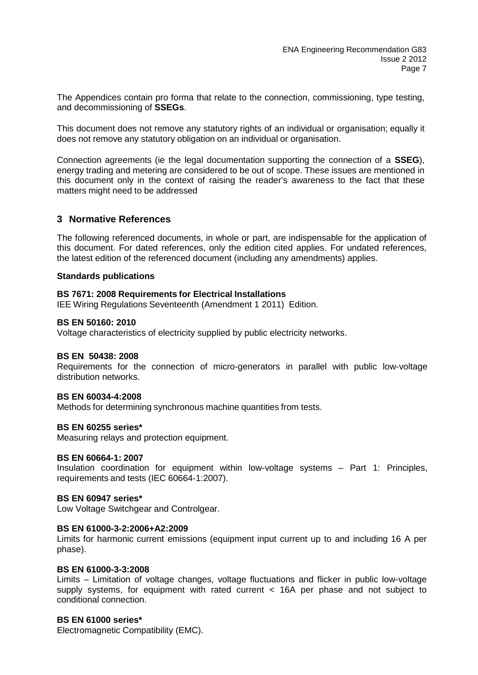The Appendices contain pro forma that relate to the connection, commissioning, type testing, and decommissioning of **SSEGs**.

This document does not remove any statutory rights of an individual or organisation; equally it does not remove any statutory obligation on an individual or organisation.

Connection agreements (ie the legal documentation supporting the connection of a **SSEG**), energy trading and metering are considered to be out of scope. These issues are mentioned in this document only in the context of raising the reader's awareness to the fact that these matters might need to be addressed

## **3 Normative References**

The following referenced documents, in whole or part, are indispensable for the application of this document. For dated references, only the edition cited applies. For undated references, the latest edition of the referenced document (including any amendments) applies.

#### **Standards publications**

#### **BS 7671: 2008 Requirements for Electrical Installations**

IEE Wiring Regulations Seventeenth (Amendment 1 2011) Edition.

#### **BS EN 50160: 2010**

Voltage characteristics of electricity supplied by public electricity networks.

#### **BS EN 50438: 2008**

Requirements for the connection of micro-generators in parallel with public low-voltage distribution networks.

#### **[BS EN 60034-4:2008](http://shop.bsigroup.com/en/ProductDetail/?pid=000000000000178325)**

Methods for determining synchronous machine quantities from tests.

#### **BS EN 60255 series\***

Measuring relays and protection equipment.

#### **BS EN 60664-1: 2007**

Insulation coordination for equipment within low-voltage systems – Part 1: Principles, requirements and tests (IEC 60664-1:2007).

#### **BS EN 60947 series\***

Low Voltage Switchgear and Controlgear.

#### **[BS EN 61000-3-2:2006+A2:2009](http://shop.bsigroup.com/en/ProductDetail/?pid=000000000030148404)**

Limits for harmonic current emissions (equipment input current up to and including 16 A per phase).

#### **BS EN 61000-3-3:2008**

Limits – Limitation of voltage changes, voltage fluctuations and flicker in public low-voltage supply systems, for equipment with rated current < 16A per phase and not subject to conditional connection.

#### **BS EN 61000 series\***

Electromagnetic Compatibility (EMC).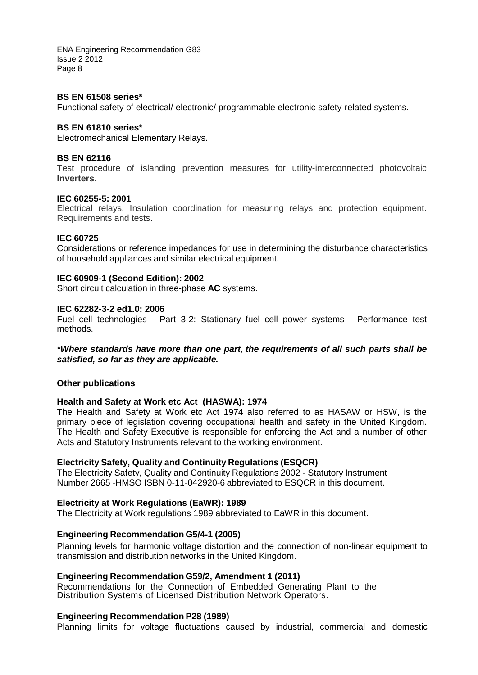#### **BS EN 61508 series\***

Functional safety of electrical/ electronic/ programmable electronic safety-related systems.

#### **BS EN 61810 series\***

Electromechanical Elementary Relays.

#### **BS EN 62116**

Test procedure of islanding prevention measures for utility-interconnected photovoltaic **Inverters**.

#### **IEC 60255-5: 2001**

[Electrical relays. Insulation coordination for measuring relays and protection equipment.](http://shop.bsigroup.com/en/ProductDetail/?pid=000000000019981660)  [Requirements and tests.](http://shop.bsigroup.com/en/ProductDetail/?pid=000000000019981660)

#### **IEC 60725**

Considerations or reference impedances for use in determining the disturbance characteristics of household appliances and similar electrical equipment.

#### **IEC 60909-1 (Second Edition): 2002**

Short circuit calculation in three-phase **AC** systems.

#### **IEC 62282-3-2 ed1.0: 2006**

Fuel cell technologies - Part 3-2: Stationary fuel cell power systems - Performance test methods.

#### *\*Where standards have more than one part, the requirements of all such parts shall be satisfied, so far as they are applicable.*

#### **Other publications**

#### **Health and Safety at Work etc Act (HASWA): 1974**

The Health and Safety at Work etc Act 1974 also referred to as HASAW or HSW, is the primary piece of legislation covering occupational health and safety in the United Kingdom. The Health and Safety Executive is responsible for enforcing the Act and a number of other Acts and Statutory Instruments relevant to the working environment.

#### **Electricity Safety, Quality and Continuity Regulations (ESQCR)**

The Electricity Safety, Quality and Continuity Regulations 2002 - Statutory Instrument Number 2665 -HMSO ISBN 0-11-042920-6 abbreviated to ESQCR in this document.

#### **Electricity at Work Regulations (EaWR): 1989**

The Electricity at Work regulations 1989 abbreviated to EaWR in this document.

#### **Engineering Recommendation G5/4-1 (2005)**

Planning levels for harmonic voltage distortion and the connection of non-linear equipment to transmission and distribution networks in the United Kingdom.

#### **Engineering Recommendation G59/2, Amendment 1 (2011)**

Recommendations for the Connection of Embedded Generating Plant to the Distribution Systems of Licensed Distribution Network Operators.

#### **Engineering Recommendation P28 (1989)**

Planning limits for voltage fluctuations caused by industrial, commercial and domestic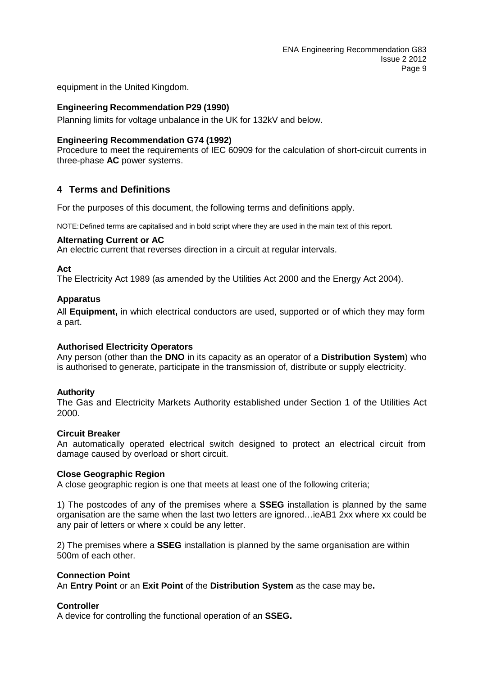equipment in the United Kingdom.

#### **Engineering Recommendation P29 (1990)**

Planning limits for voltage unbalance in the UK for 132kV and below.

#### **Engineering Recommendation G74 (1992)**

Procedure to meet the requirements of IEC 60909 for the calculation of short-circuit currents in three-phase **AC** power systems.

## **4 Terms and Definitions**

For the purposes of this document, the following terms and definitions apply.

NOTE:Defined terms are capitalised and in bold script where they are used in the main text of this report.

#### **Alternating Current or AC**

An electric current that reverses direction in a circuit at regular intervals.

#### **Act**

The Electricity Act 1989 (as amended by the Utilities Act 2000 and the Energy Act 2004).

#### **Apparatus**

All **Equipment,** in which electrical conductors are used, supported or of which they may form a part.

## **Authorised Electricity Operators**

Any person (other than the **DNO** in its capacity as an operator of a **Distribution System**) who is authorised to generate, participate in the transmission of, distribute or supply electricity.

## **Authority**

The Gas and Electricity Markets Authority established under Section 1 of the Utilities Act 2000.

#### **Circuit Breaker**

An automatically operated electrical switch designed to protect an electrical circuit from damage caused by overload or short circuit.

#### **Close Geographic Region**

A close geographic region is one that meets at least one of the following criteria;

1) The postcodes of any of the premises where a **SSEG** installation is planned by the same organisation are the same when the last two letters are ignored…ieAB1 2xx where xx could be any pair of letters or where x could be any letter.

2) The premises where a **SSEG** installation is planned by the same organisation are within 500m of each other.

#### **Connection Point**

An **Entry Point** or an **Exit Point** of the **Distribution System** as the case may be**.**

#### **Controller**

A device for controlling the functional operation of an **SSEG.**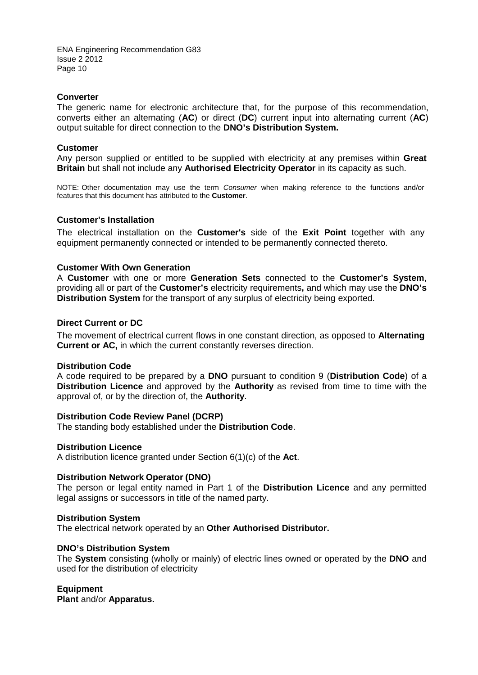#### **Converter**

The generic name for electronic architecture that, for the purpose of this recommendation, converts either an alternating (**AC**) or direct (**DC**) current input into alternating current (**AC**) output suitable for direct connection to the **DNO's Distribution System.**

#### **Customer**

Any person supplied or entitled to be supplied with electricity at any premises within **Great Britain** but shall not include any **Authorised Electricity Operator** in its capacity as such.

NOTE: Other documentation may use the term *Consumer* when making reference to the functions and/or features that this document has attributed to the **Customer**.

#### **Customer's Installation**

The electrical installation on the **Customer's** side of the **Exit Point** together with any equipment permanently connected or intended to be permanently connected thereto.

#### **Customer With Own Generation**

A **Customer** with one or more **Generation Sets** connected to the **Customer's System**, providing all or part of the **Customer's** electricity requirements**,** and which may use the **DNO's Distribution System** for the transport of any surplus of electricity being exported.

#### **Direct Current or DC**

The movement of electrical current flows in one constant direction, as opposed to **Alternating Current or AC,** in which the current constantly reverses direction.

#### **Distribution Code**

A code required to be prepared by a **DNO** pursuant to condition 9 (**Distribution Code**) of a **Distribution Licence** and approved by the **Authority** as revised from time to time with the approval of, or by the direction of, the **Authority**.

#### **Distribution Code Review Panel (DCRP)**

The standing body established under the **Distribution Code**.

#### **Distribution Licence**

A distribution licence granted under Section 6(1)(c) of the **Act**.

#### **Distribution Network Operator (DNO)**

The person or legal entity named in Part 1 of the **Distribution Licence** and any permitted legal assigns or successors in title of the named party.

#### **Distribution System**

The electrical network operated by an **Other Authorised Distributor.** 

#### **DNO's Distribution System**

The **System** consisting (wholly or mainly) of electric lines owned or operated by the **DNO** and used for the distribution of electricity

#### **Equipment**

**Plant** and/or **Apparatus.**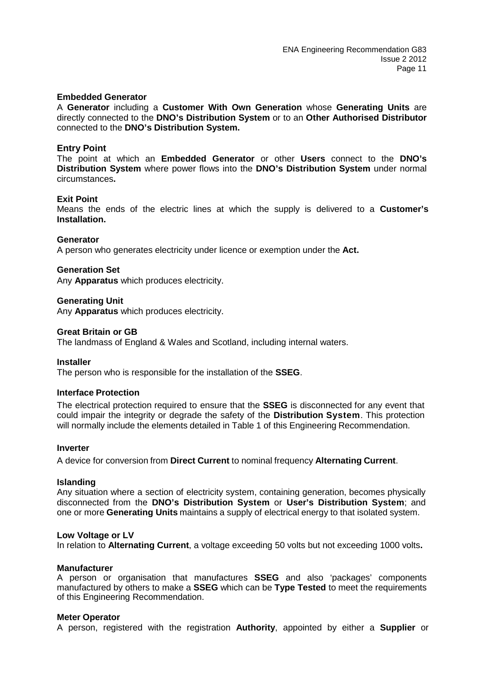#### **Embedded Generator**

A **Generator** including a **Customer With Own Generation** whose **Generating Units** are directly connected to the **DNO's Distribution System** or to an **Other Authorised Distributor**  connected to the **DNO's Distribution System.** 

#### **Entry Point**

The point at which an **Embedded Generator** or other **Users** connect to the **DNO's Distribution System** where power flows into the **DNO's Distribution System** under normal circumstances**.** 

#### **Exit Point**

Means the ends of the electric lines at which the supply is delivered to a **Customer's Installation.**

#### **Generator**

A person who generates electricity under licence or exemption under the **Act.** 

#### **Generation Set**

Any **Apparatus** which produces electricity.

#### **Generating Unit**

Any **Apparatus** which produces electricity.

#### **Great Britain or GB**

The landmass of England & Wales and Scotland, including internal waters.

#### **Installer**

The person who is responsible for the installation of the **SSEG**.

#### **Interface Protection**

The electrical protection required to ensure that the **SSEG** is disconnected for any event that could impair the integrity or degrade the safety of the **Distribution System**. This protection will normally include the elements detailed in Table 1 of this Engineering Recommendation.

#### **Inverter**

A device for conversion from **Direct Current** to nominal frequency **Alternating Current**.

#### **Islanding**

Any situation where a section of electricity system, containing generation, becomes physically disconnected from the **DNO's Distribution System** or **User's Distribution System**; and one or more **Generating Units** maintains a supply of electrical energy to that isolated system.

#### **Low Voltage or LV**

In relation to **Alternating Current**, a voltage exceeding 50 volts but not exceeding 1000 volts**.** 

#### **Manufacturer**

A person or organisation that manufactures **SSEG** and also 'packages' components manufactured by others to make a **SSEG** which can be **Type Tested** to meet the requirements of this Engineering Recommendation.

#### **Meter Operator**

A person, registered with the registration **Authority**, appointed by either a **Supplier** or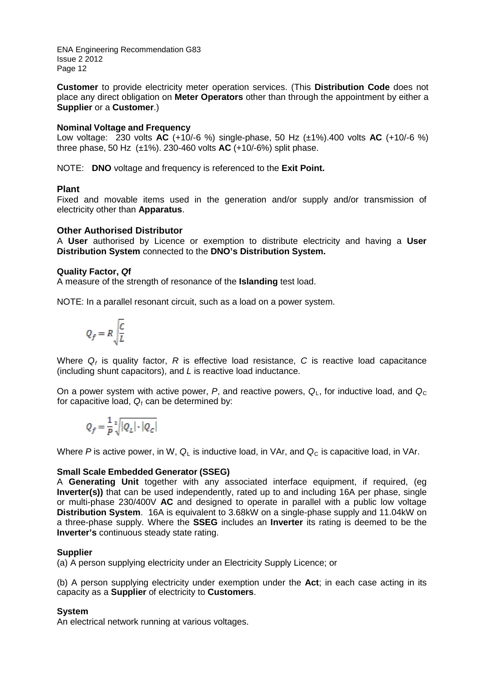**Customer** to provide electricity meter operation services. (This **Distribution Code** does not place any direct obligation on **Meter Operators** other than through the appointment by either a **Supplier** or a **Customer**.)

## **Nominal Voltage and Frequency**

Low voltage: 230 volts **AC** (+10/-6 %) single-phase, 50 Hz (±1%).400 volts **AC** (+10/-6 %) three phase, 50 Hz (±1%). 230-460 volts **AC** (+10/-6%) split phase.

NOTE: **DNO** voltage and frequency is referenced to the **Exit Point.**

## **Plant**

Fixed and movable items used in the generation and/or supply and/or transmission of electricity other than **Apparatus**.

## **Other Authorised Distributor**

A **User** authorised by Licence or exemption to distribute electricity and having a **User Distribution System** connected to the **DNO's Distribution System.** 

## **Quality Factor,** *Q***f**

A measure of the strength of resonance of the **Islanding** test load.

NOTE: In a parallel resonant circuit, such as a load on a power system.

$$
Q_f=R\sqrt{\frac{C}{L}}
$$

Where  $Q_f$  is quality factor,  $R$  is effective load resistance,  $C$  is reactive load capacitance (including shunt capacitors), and *L* is reactive load inductance.

On a power system with active power, P, and reactive powers,  $Q_{\text{L}}$ , for inductive load, and  $Q_{\text{C}}$ for capacitive load,  $Q_f$  can be determined by:

$$
Q_f = \frac{1}{P}\sqrt[2]{|Q_L|\cdot |Q_C|}
$$

Where *P* is active power, in W,  $Q_1$  is inductive load, in VAr, and  $Q_0$  is capacitive load, in VAr.

## **Small Scale Embedded Generator (SSEG)**

A **Generating Unit** together with any associated interface equipment, if required, (eg **Inverter(s))** that can be used independently, rated up to and including 16A per phase, single or multi-phase 230/400V **AC** and designed to operate in parallel with a public low voltage **Distribution System**. 16A is equivalent to 3.68kW on a single-phase supply and 11.04kW on a three-phase supply. Where the **SSEG** includes an **Inverter** its rating is deemed to be the **Inverter's** continuous steady state rating.

## **Supplier**

(a) A person supplying electricity under an Electricity Supply Licence; or

(b) A person supplying electricity under exemption under the **Act**; in each case acting in its capacity as a **Supplier** of electricity to **Customers**.

## **System**

An electrical network running at various voltages.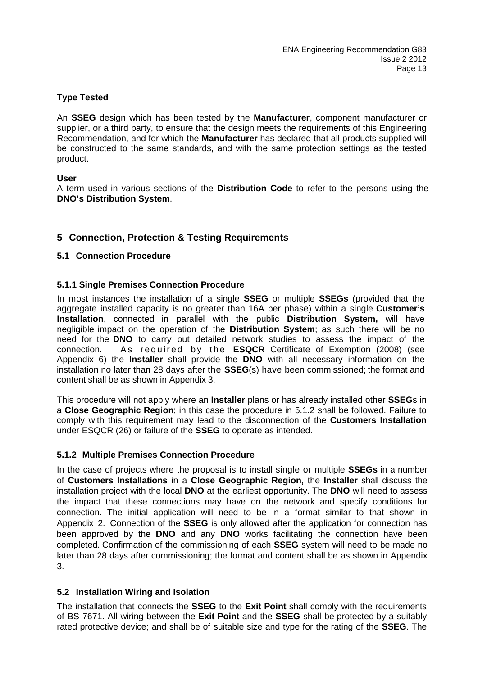## **Type Tested**

An **SSEG** design which has been tested by the **Manufacturer**, component manufacturer or supplier, or a third party, to ensure that the design meets the requirements of this Engineering Recommendation, and for which the **Manufacturer** has declared that all products supplied will be constructed to the same standards, and with the same protection settings as the tested product.

## **User**

A term used in various sections of the **Distribution Code** to refer to the persons using the **DNO's Distribution System**.

## **5 Connection, Protection & Testing Requirements**

## **5.1 Connection Procedure**

## **5.1.1 Single Premises Connection Procedure**

In most instances the installation of a single **SSEG** or multiple **SSEGs** (provided that the aggregate installed capacity is no greater than 16A per phase) within a single **Customer's Installation**, connected in parallel with the public **Distribution System,** will have negligible impact on the operation of the **Distribution System**; as such there will be no need for the **DNO** to carry out detailed network studies to assess the impact of the connection. As required by the **ESQCR** Certificate of Exemption (2008) (see Appendix 6) the **Installer** shall provide the **DNO** with all necessary information on the installation no later than 28 days after the **SSEG**(s) have been commissioned; the format and content shall be as shown in Appendix 3.

This procedure will not apply where an **Installer** plans or has already installed other **SSEG**s in a **Close Geographic Region**; in this case the procedure in 5.1.2 shall be followed. Failure to comply with this requirement may lead to the disconnection of the **Customers Installation** under ESQCR (26) or failure of the **SSEG** to operate as intended.

## **5.1.2 Multiple Premises Connection Procedure**

In the case of projects where the proposal is to install single or multiple **SSEGs** in a number of **Customers Installations** in a **Close Geographic Region,** the **Installer** shall discuss the installation project with the local **DNO** at the earliest opportunity. The **DNO** will need to assess the impact that these connections may have on the network and specify conditions for connection. The initial application will need to be in a format similar to that shown in Appendix 2. Connection of the **SSEG** is only allowed after the application for connection has been approved by the **DNO** and any **DNO** works facilitating the connection have been completed. Confirmation of the commissioning of each **SSEG** system will need to be made no later than 28 days after commissioning; the format and content shall be as shown in Appendix 3.

## **5.2 Installation Wiring and Isolation**

The installation that connects the **SSEG** to the **Exit Point** shall comply with the requirements of BS 7671. All wiring between the **Exit Point** and the **SSEG** shall be protected by a suitably rated protective device; and shall be of suitable size and type for the rating of the **SSEG**. The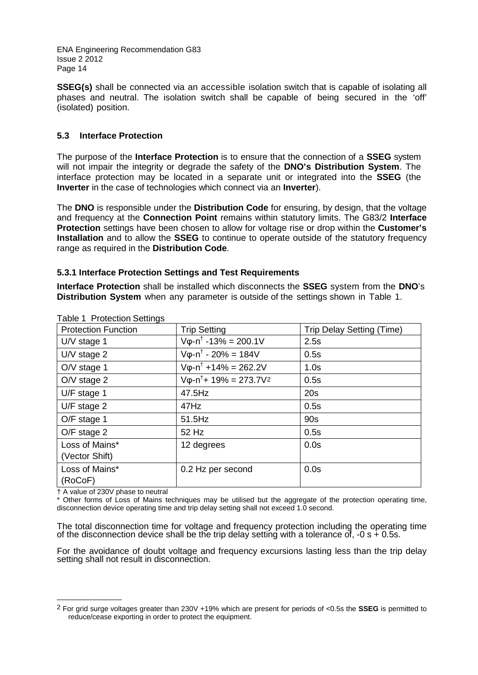**SSEG(s)** shall be connected via an accessible isolation switch that is capable of isolating all phases and neutral. The isolation switch shall be capable of being secured in the 'off' (isolated) position.

## **5.3 Interface Protection**

The purpose of the **Interface Protection** is to ensure that the connection of a **SSEG** system will not impair the integrity or degrade the safety of the **DNO's Distribution System**. The interface protection may be located in a separate unit or integrated into the **SSEG** (the **Inverter** in the case of technologies which connect via an **Inverter**).

The **DNO** is responsible under the **Distribution Code** for ensuring, by design, that the voltage and frequency at the **Connection Point** remains within statutory limits. The G83/2 **Interface Protection** settings have been chosen to allow for voltage rise or drop within the **Customer's Installation** and to allow the **SSEG** to continue to operate outside of the statutory frequency range as required in the **Distribution Code**.

## **5.3.1 Interface Protection Settings and Test Requirements**

**Interface Protection** shall be installed which disconnects the **SSEG** system from the **DNO**'s **Distribution System** when any parameter is outside of the settings shown in Table 1.

|                            | avid I Fluiduluil John 195                 |                                  |  |  |  |  |  |
|----------------------------|--------------------------------------------|----------------------------------|--|--|--|--|--|
| <b>Protection Function</b> | <b>Trip Setting</b>                        | <b>Trip Delay Setting (Time)</b> |  |  |  |  |  |
| $UV$ stage 1               | $V_{\phi}$ -n <sup>†</sup> -13% = 200.1V   | 2.5s                             |  |  |  |  |  |
| $UV$ stage 2               | $V\varphi - n^{\dagger} - 20\% = 184V$     | 0.5s                             |  |  |  |  |  |
| O/V stage 1                | $V\varphi - n^{\dagger} + 14\% = 262.2V$   | 1.0s                             |  |  |  |  |  |
| $O/V$ stage 2              | $V\varphi - n^{\dagger} + 19\% = 273.7V^2$ | 0.5s                             |  |  |  |  |  |
| U/F stage 1                | 47.5Hz                                     | 20s                              |  |  |  |  |  |
| $U/F$ stage 2              | 47Hz                                       | 0.5s                             |  |  |  |  |  |
| O/F stage 1                | 51.5Hz                                     | 90s                              |  |  |  |  |  |
| O/F stage 2                | 52 Hz                                      | 0.5s                             |  |  |  |  |  |
| Loss of Mains*             | 12 degrees                                 | 0.0s                             |  |  |  |  |  |
| (Vector Shift)             |                                            |                                  |  |  |  |  |  |
| Loss of Mains*             | 0.2 Hz per second                          | 0.0s                             |  |  |  |  |  |
| (RoCoF)                    |                                            |                                  |  |  |  |  |  |

Table 1 Protection Settings

† A value of 230V phase to neutral

————————————————————

Other forms of Loss of Mains techniques may be utilised but the aggregate of the protection operating time, disconnection device operating time and trip delay setting shall not exceed 1.0 second.

The total disconnection time for voltage and frequency protection including the operating time of the disconnection device shall be the trip delay setting with a tolerance of,  $-0$  s  $+$  0.5s.

For the avoidance of doubt voltage and frequency excursions lasting less than the trip delay setting shall not result in disconnection.

<span id="page-13-0"></span><sup>2</sup> For grid surge voltages greater than 230V +19% which are present for periods of <0.5s the **SSEG** is permitted to reduce/cease exporting in order to protect the equipment.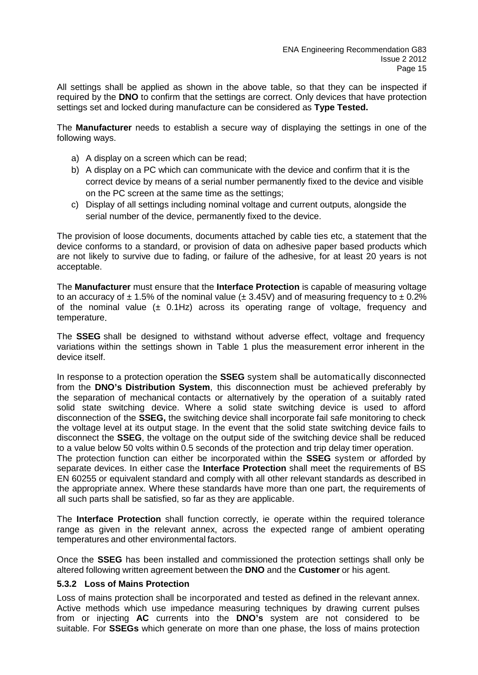All settings shall be applied as shown in the above table, so that they can be inspected if required by the **DNO** to confirm that the settings are correct. Only devices that have protection settings set and locked during manufacture can be considered as **Type Tested.**

The **Manufacturer** needs to establish a secure way of displaying the settings in one of the following ways.

- a) A display on a screen which can be read;
- b) A display on a PC which can communicate with the device and confirm that it is the correct device by means of a serial number permanently fixed to the device and visible on the PC screen at the same time as the settings;
- c) Display of all settings including nominal voltage and current outputs, alongside the serial number of the device, permanently fixed to the device.

The provision of loose documents, documents attached by cable ties etc, a statement that the device conforms to a standard, or provision of data on adhesive paper based products which are not likely to survive due to fading, or failure of the adhesive, for at least 20 years is not acceptable.

The **Manufacturer** must ensure that the **Interface Protection** is capable of measuring voltage to an accuracy of  $\pm$  1.5% of the nominal value ( $\pm$  3.45V) and of measuring frequency to  $\pm$  0.2% of the nominal value  $(\pm 0.1$ Hz) across its operating range of voltage, frequency and temperature.

The **SSEG** shall be designed to withstand without adverse effect, voltage and frequency variations within the settings shown in Table 1 plus the measurement error inherent in the device itself.

In response to a protection operation the **SSEG** system shall be automatically disconnected from the **DNO's Distribution System**, this disconnection must be achieved preferably by the separation of mechanical contacts or alternatively by the operation of a suitably rated solid state switching device. Where a solid state switching device is used to afford disconnection of the **SSEG,** the switching device shall incorporate fail safe monitoring to check the voltage level at its output stage. In the event that the solid state switching device fails to disconnect the **SSEG**, the voltage on the output side of the switching device shall be reduced to a value below 50 volts within 0.5 seconds of the protection and trip delay timer operation. The protection function can either be incorporated within the **SSEG** system or afforded by separate devices. In either case the **Interface Protection** shall meet the requirements of BS EN 60255 or equivalent standard and comply with all other relevant standards as described in

the appropriate annex. Where these standards have more than one part, the requirements of all such parts shall be satisfied, so far as they are applicable.

The **Interface Protection** shall function correctly, ie operate within the required tolerance range as given in the relevant annex, across the expected range of ambient operating temperatures and other environmental factors.

Once the **SSEG** has been installed and commissioned the protection settings shall only be altered following written agreement between the **DNO** and the **Customer** or his agent.

#### **5.3.2 Loss of Mains Protection**

Loss of mains protection shall be incorporated and tested as defined in the relevant annex. Active methods which use impedance measuring techniques by drawing current pulses from or injecting **AC** currents into the **DNO's** system are not considered to be suitable. For **SSEGs** which generate on more than one phase, the loss of mains protection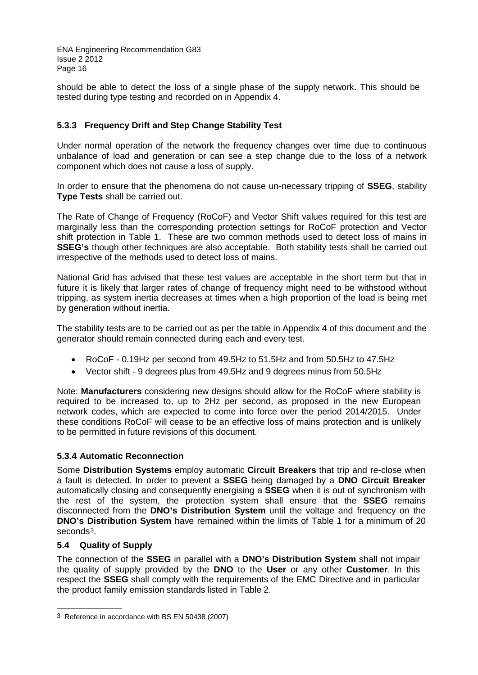should be able to detect the loss of a single phase of the supply network. This should be tested during type testing and recorded on in Appendix 4.

## **5.3.3 Frequency Drift and Step Change Stability Test**

Under normal operation of the network the frequency changes over time due to continuous unbalance of load and generation or can see a step change due to the loss of a network component which does not cause a loss of supply.

In order to ensure that the phenomena do not cause un-necessary tripping of **SSEG**, stability **Type Tests** shall be carried out.

The Rate of Change of Frequency (RoCoF) and Vector Shift values required for this test are marginally less than the corresponding protection settings for RoCoF protection and Vector shift protection in Table 1. These are two common methods used to detect loss of mains in **SSEG's** though other techniques are also acceptable. Both stability tests shall be carried out irrespective of the methods used to detect loss of mains.

National Grid has advised that these test values are acceptable in the short term but that in future it is likely that larger rates of change of frequency might need to be withstood without tripping, as system inertia decreases at times when a high proportion of the load is being met by generation without inertia.

The stability tests are to be carried out as per the table in Appendix 4 of this document and the generator should remain connected during each and every test.

- RoCoF 0.19Hz per second from 49.5Hz to 51.5Hz and from 50.5Hz to 47.5Hz
- Vector shift 9 degrees plus from 49.5Hz and 9 degrees minus from 50.5Hz

Note: **Manufacturers** considering new designs should allow for the RoCoF where stability is required to be increased to, up to 2Hz per second, as proposed in the new European network codes, which are expected to come into force over the period 2014/2015. Under these conditions RoCoF will cease to be an effective loss of mains protection and is unlikely to be permitted in future revisions of this document.

## **5.3.4 Automatic Reconnection**

Some **Distribution Systems** employ automatic **Circuit Breakers** that trip and re-close when a fault is detected. In order to prevent a **SSEG** being damaged by a **DNO Circuit Breaker** automatically closing and consequently energising a **SSEG** when it is out of synchronism with the rest of the system, the protection system shall ensure that the **SSEG** remains disconnected from the **DNO's Distribution System** until the voltage and frequency on the **DNO's Distribution System** have remained within the limits of Table 1 for a minimum of 20 seconds[3.](#page-15-0)

## **5.4 Quality of Supply**

————————————————————

The connection of the **SSEG** in parallel with a **DNO's Distribution System** shall not impair the quality of supply provided by the **DNO** to the **User** or any other **Customer**. In this respect the **SSEG** shall comply with the requirements of the EMC Directive and in particular the product family emission standards listed in Table 2.

<span id="page-15-0"></span><sup>3</sup> Reference in accordance with BS EN 50438 (2007)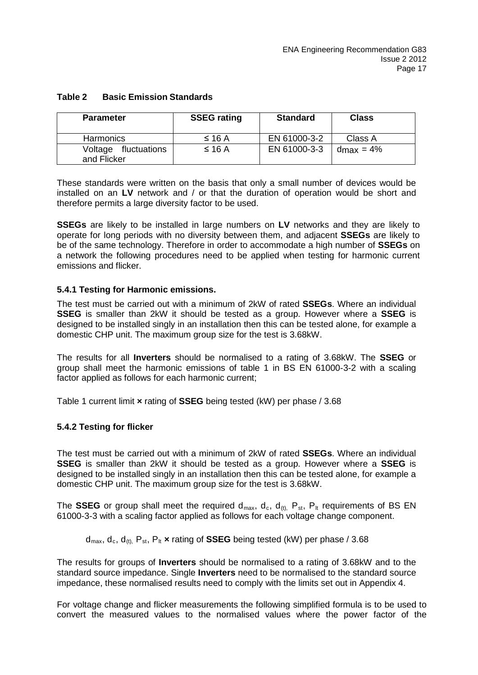| <b>Parameter</b>                    | <b>SSEG rating</b> | <b>Standard</b> | <b>Class</b> |
|-------------------------------------|--------------------|-----------------|--------------|
| <b>Harmonics</b>                    | $\leq 16$ A        | EN 61000-3-2    | Class A      |
| Voltage fluctuations<br>and Flicker | $\leq$ 16 A        | EN 61000-3-3    | $dmax = 4%$  |

## **Table 2 Basic Emission Standards**

These standards were written on the basis that only a small number of devices would be installed on an **LV** network and / or that the duration of operation would be short and therefore permits a large diversity factor to be used.

**SSEGs** are likely to be installed in large numbers on **LV** networks and they are likely to operate for long periods with no diversity between them, and adjacent **SSEGs** are likely to be of the same technology. Therefore in order to accommodate a high number of **SSEGs** on a network the following procedures need to be applied when testing for harmonic current emissions and flicker.

## **5.4.1 Testing for Harmonic emissions.**

The test must be carried out with a minimum of 2kW of rated **SSEGs**. Where an individual **SSEG** is smaller than 2kW it should be tested as a group. However where a **SSEG** is designed to be installed singly in an installation then this can be tested alone, for example a domestic CHP unit. The maximum group size for the test is 3.68kW.

The results for all **Inverters** should be normalised to a rating of 3.68kW. The **SSEG** or group shall meet the harmonic emissions of table 1 in BS EN 61000-3-2 with a scaling factor applied as follows for each harmonic current;

Table 1 current limit **×** rating of **SSEG** being tested (kW) per phase / 3.68

## **5.4.2 Testing for flicker**

The test must be carried out with a minimum of 2kW of rated **SSEGs**. Where an individual **SSEG** is smaller than 2kW it should be tested as a group. However where a **SSEG** is designed to be installed singly in an installation then this can be tested alone, for example a domestic CHP unit. The maximum group size for the test is 3.68kW.

The **SSEG** or group shall meet the required  $d_{max}$ ,  $d_c$ ,  $d_{(t)}$ ,  $P_{st}$ ,  $P_{lt}$  requirements of BS EN 61000-3-3 with a scaling factor applied as follows for each voltage change component.

 $d_{max}$ ,  $d_c$ ,  $d_{ft}$ ,  $P_{st}$ ,  $P_{lt}$  **×** rating of **SSEG** being tested (kW) per phase / 3.68

The results for groups of **Inverters** should be normalised to a rating of 3.68kW and to the standard source impedance. Single **Inverters** need to be normalised to the standard source impedance, these normalised results need to comply with the limits set out in Appendix 4.

For voltage change and flicker measurements the following simplified formula is to be used to convert the measured values to the normalised values where the power factor of the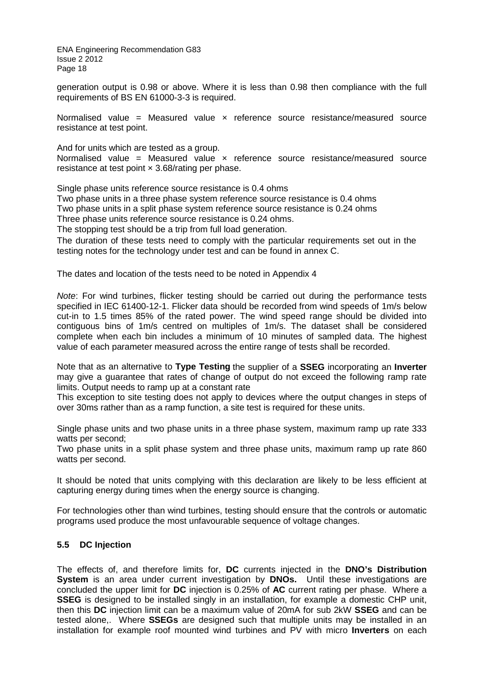generation output is 0.98 or above. Where it is less than 0.98 then compliance with the full requirements of BS EN 61000-3-3 is required.

Normalised value = Measured value  $\times$  reference source resistance/measured source resistance at test point.

And for units which are tested as a group. Normalised value = Measured value  $\times$  reference source resistance/measured source resistance at test point  $\times$  3.68/rating per phase.

Single phase units reference source resistance is 0.4 ohms

Two phase units in a three phase system reference source resistance is 0.4 ohms Two phase units in a split phase system reference source resistance is 0.24 ohms Three phase units reference source resistance is 0.24 ohms.

The stopping test should be a trip from full load generation.

The duration of these tests need to comply with the particular requirements set out in the testing notes for the technology under test and can be found in annex C.

The dates and location of the tests need to be noted in Appendix 4

*Note*: For wind turbines, flicker testing should be carried out during the performance tests specified in IEC 61400-12-1. Flicker data should be recorded from wind speeds of 1m/s below cut-in to 1.5 times 85% of the rated power. The wind speed range should be divided into contiguous bins of 1m/s centred on multiples of 1m/s. The dataset shall be considered complete when each bin includes a minimum of 10 minutes of sampled data. The highest value of each parameter measured across the entire range of tests shall be recorded.

Note that as an alternative to **Type Testing** the supplier of a **SSEG** incorporating an **Inverter** may give a guarantee that rates of change of output do not exceed the following ramp rate limits. Output needs to ramp up at a constant rate

This exception to site testing does not apply to devices where the output changes in steps of over 30ms rather than as a ramp function, a site test is required for these units.

Single phase units and two phase units in a three phase system, maximum ramp up rate 333 watts per second;

Two phase units in a split phase system and three phase units, maximum ramp up rate 860 watts per second.

It should be noted that units complying with this declaration are likely to be less efficient at capturing energy during times when the energy source is changing.

For technologies other than wind turbines, testing should ensure that the controls or automatic programs used produce the most unfavourable sequence of voltage changes.

## **5.5 DC Injection**

The effects of, and therefore limits for, **DC** currents injected in the **DNO's Distribution System** is an area under current investigation by **DNOs.** Until these investigations are concluded the upper limit for **DC** injection is 0.25% of **AC** current rating per phase. Where a **SSEG** is designed to be installed singly in an installation, for example a domestic CHP unit, then this **DC** injection limit can be a maximum value of 20mA for sub 2kW **SSEG** and can be tested alone,. Where **SSEGs** are designed such that multiple units may be installed in an installation for example roof mounted wind turbines and PV with micro **Inverters** on each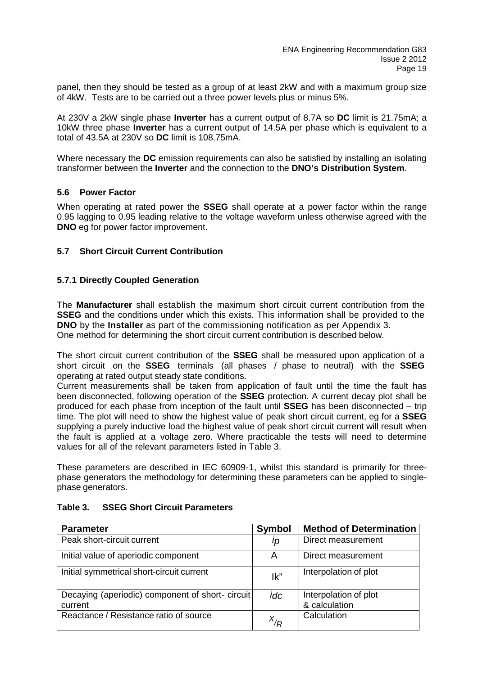panel, then they should be tested as a group of at least 2kW and with a maximum group size of 4kW. Tests are to be carried out a three power levels plus or minus 5%.

At 230V a 2kW single phase **Inverter** has a current output of 8.7A so **DC** limit is 21.75mA; a 10kW three phase **Inverter** has a current output of 14.5A per phase which is equivalent to a total of 43.5A at 230V so **DC** limit is 108.75mA.

Where necessary the **DC** emission requirements can also be satisfied by installing an isolating transformer between the **Inverter** and the connection to the **DNO's Distribution System**.

## **5.6 Power Factor**

When operating at rated power the **SSEG** shall operate at a power factor within the range 0.95 lagging to 0.95 leading relative to the voltage waveform unless otherwise agreed with the **DNO** eg for power factor improvement.

## **5.7 Short Circuit Current Contribution**

#### **5.7.1 Directly Coupled Generation**

The **Manufacturer** shall establish the maximum short circuit current contribution from the **SSEG** and the conditions under which this exists. This information shall be provided to the **DNO** by the **Installer** as part of the commissioning notification as per Appendix 3. One method for determining the short circuit current contribution is described below.

The short circuit current contribution of the **SSEG** shall be measured upon application of a short circuit on the **SSEG** terminals (all phases / phase to neutral) with the **SSEG** operating at rated output steady state conditions.

Current measurements shall be taken from application of fault until the time the fault has been disconnected, following operation of the **SSEG** protection. A current decay plot shall be produced for each phase from inception of the fault until **SSEG** has been disconnected – trip time. The plot will need to show the highest value of peak short circuit current, eg for a **SSEG** supplying a purely inductive load the highest value of peak short circuit current will result when the fault is applied at a voltage zero. Where practicable the tests will need to determine values for all of the relevant parameters listed in Table 3.

These parameters are described in IEC 60909-1, whilst this standard is primarily for threephase generators the methodology for determining these parameters can be applied to singlephase generators.

| <b>Parameter</b>                                 | Symbol   | <b>Method of Determination</b> |
|--------------------------------------------------|----------|--------------------------------|
| Peak short-circuit current                       | Ip       | Direct measurement             |
| Initial value of aperiodic component             | Α        | Direct measurement             |
| Initial symmetrical short-circuit current        | lk"      | Interpolation of plot          |
| Decaying (aperiodic) component of short- circuit | idc      | Interpolation of plot          |
| current                                          |          | & calculation                  |
| Reactance / Resistance ratio of source           | $X_{/R}$ | Calculation                    |

#### **Table 3. SSEG Short Circuit Parameters**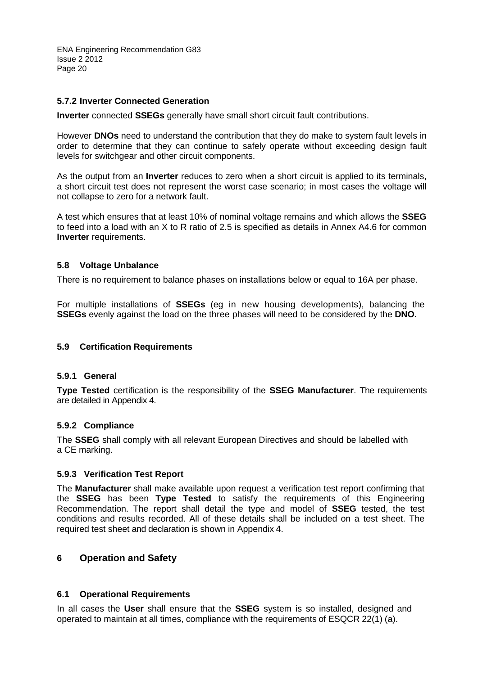## **5.7.2 Inverter Connected Generation**

**Inverter** connected **SSEGs** generally have small short circuit fault contributions.

However **DNOs** need to understand the contribution that they do make to system fault levels in order to determine that they can continue to safely operate without exceeding design fault levels for switchgear and other circuit components.

As the output from an **Inverter** reduces to zero when a short circuit is applied to its terminals, a short circuit test does not represent the worst case scenario; in most cases the voltage will not collapse to zero for a network fault.

A test which ensures that at least 10% of nominal voltage remains and which allows the **SSEG** to feed into a load with an X to R ratio of 2.5 is specified as details in Annex A4.6 for common **Inverter** requirements.

## **5.8 Voltage Unbalance**

There is no requirement to balance phases on installations below or equal to 16A per phase.

For multiple installations of **SSEGs** (eg in new housing developments), balancing the **SSEGs** evenly against the load on the three phases will need to be considered by the **DNO.**

## **5.9 Certification Requirements**

## **5.9.1 General**

**Type Tested** certification is the responsibility of the **SSEG Manufacturer**. The requirements are detailed in Appendix 4.

## **5.9.2 Compliance**

The **SSEG** shall comply with all relevant European Directives and should be labelled with a CE marking.

## **5.9.3 Verification Test Report**

The **Manufacturer** shall make available upon request a verification test report confirming that the **SSEG** has been **Type Tested** to satisfy the requirements of this Engineering Recommendation. The report shall detail the type and model of **SSEG** tested, the test conditions and results recorded. All of these details shall be included on a test sheet. The required test sheet and declaration is shown in Appendix 4.

## **6 Operation and Safety**

## **6.1 Operational Requirements**

In all cases the **User** shall ensure that the **SSEG** system is so installed, designed and operated to maintain at all times, compliance with the requirements of ESQCR 22(1) (a).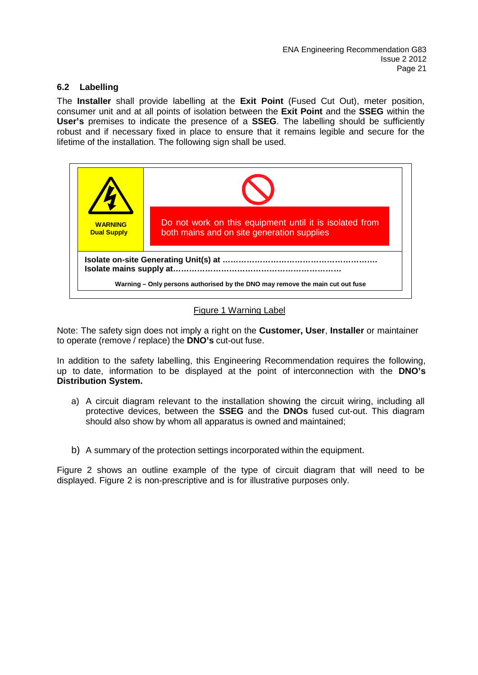## **6.2 Labelling**

The **Installer** shall provide labelling at the **Exit Point** (Fused Cut Out), meter position, consumer unit and at all points of isolation between the **Exit Point** and the **SSEG** within the **User's** premises to indicate the presence of a **SSEG**. The labelling should be sufficiently robust and if necessary fixed in place to ensure that it remains legible and secure for the lifetime of the installation. The following sign shall be used.



## Figure 1 Warning Label

Note: The safety sign does not imply a right on the **Customer, User**, **Installer** or maintainer to operate (remove / replace) the **DNO's** cut-out fuse.

In addition to the safety labelling, this Engineering Recommendation requires the following, up to date, information to be displayed at the point of interconnection with the **DNO's Distribution System.**

- a) A circuit diagram relevant to the installation showing the circuit wiring, including all protective devices, between the **SSEG** and the **DNOs** fused cut-out. This diagram should also show by whom all apparatus is owned and maintained;
- b) A summary of the protection settings incorporated within the equipment.

Figure 2 shows an outline example of the type of circuit diagram that will need to be displayed. Figure 2 is non-prescriptive and is for illustrative purposes only.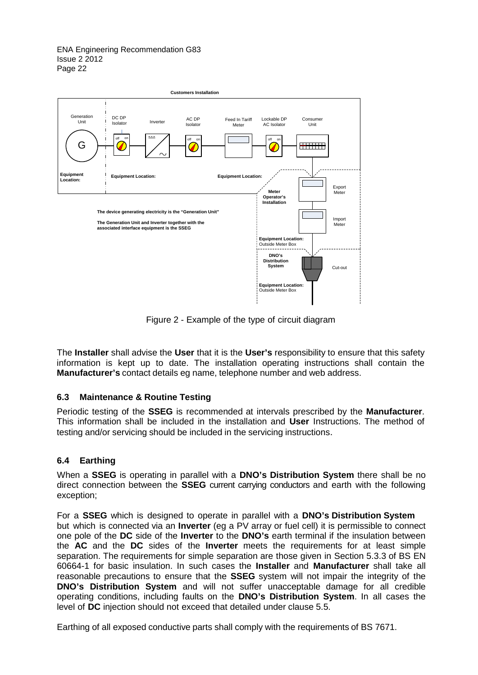

Figure 2 - Example of the type of circuit diagram

The **Installer** shall advise the **User** that it is the **User's** responsibility to ensure that this safety information is kept up to date. The installation operating instructions shall contain the **Manufacturer's** contact details eg name, telephone number and web address.

## **6.3 Maintenance & Routine Testing**

Periodic testing of the **SSEG** is recommended at intervals prescribed by the **Manufacturer**. This information shall be included in the installation and **User** Instructions. The method of testing and/or servicing should be included in the servicing instructions.

## **6.4 Earthing**

When a **SSEG** is operating in parallel with a **DNO's Distribution System** there shall be no direct connection between the **SSEG** current carrying conductors and earth with the following exception;

For a **SSEG** which is designed to operate in parallel with a **DNO's Distribution System** but which is connected via an **Inverter** (eg a PV array or fuel cell) it is permissible to connect one pole of the **DC** side of the **Inverter** to the **DNO's** earth terminal if the insulation between the **AC** and the **DC** sides of the **Inverter** meets the requirements for at least simple separation. The requirements for simple separation are those given in Section 5.3.3 of BS EN 60664-1 for basic insulation. In such cases the **Installer** and **Manufacturer** shall take all reasonable precautions to ensure that the **SSEG** system will not impair the integrity of the **DNO's Distribution System** and will not suffer unacceptable damage for all credible operating conditions, including faults on the **DNO's Distribution System**. In all cases the level of **DC** injection should not exceed that detailed under clause 5.5.

Earthing of all exposed conductive parts shall comply with the requirements of BS 7671.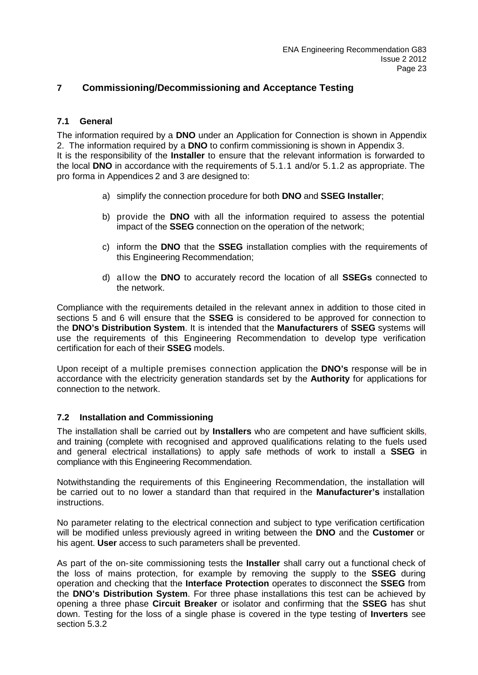## **7 Commissioning/Decommissioning and Acceptance Testing**

## **7.1 General**

The information required by a **DNO** under an Application for Connection is shown in Appendix 2. The information required by a **DNO** to confirm commissioning is shown in Appendix 3. It is the responsibility of the **Installer** to ensure that the relevant information is forwarded to the local **DNO** in accordance with the requirements of 5.1.1 and/or 5.1.2 as appropriate. The pro forma in Appendices 2 and 3 are designed to:

- a) simplify the connection procedure for both **DNO** and **SSEG Installer**;
- b) provide the **DNO** with all the information required to assess the potential impact of the **SSEG** connection on the operation of the network;
- c) inform the **DNO** that the **SSEG** installation complies with the requirements of this Engineering Recommendation;
- d) allow the **DNO** to accurately record the location of all **SSEGs** connected to the network.

Compliance with the requirements detailed in the relevant annex in addition to those cited in sections 5 and 6 will ensure that the **SSEG** is considered to be approved for connection to the **DNO's Distribution System**. It is intended that the **Manufacturers** of **SSEG** systems will use the requirements of this Engineering Recommendation to develop type verification certification for each of their **SSEG** models.

Upon receipt of a multiple premises connection application the **DNO's** response will be in accordance with the electricity generation standards set by the **Authority** for applications for connection to the network.

## **7.2 Installation and Commissioning**

The installation shall be carried out by **Installers** who are competent and have sufficient skills, and training (complete with recognised and approved qualifications relating to the fuels used and general electrical installations) to apply safe methods of work to install a **SSEG** in compliance with this Engineering Recommendation.

Notwithstanding the requirements of this Engineering Recommendation, the installation will be carried out to no lower a standard than that required in the **Manufacturer's** installation instructions.

No parameter relating to the electrical connection and subject to type verification certification will be modified unless previously agreed in writing between the **DNO** and the **Customer** or his agent. **User** access to such parameters shall be prevented.

As part of the on-site commissioning tests the **Installer** shall carry out a functional check of the loss of mains protection, for example by removing the supply to the **SSEG** during operation and checking that the **Interface Protection** operates to disconnect the **SSEG** from the **DNO's Distribution System**. For three phase installations this test can be achieved by opening a three phase **Circuit Breaker** or isolator and confirming that the **SSEG** has shut down. Testing for the loss of a single phase is covered in the type testing of **Inverters** see section 5.3.2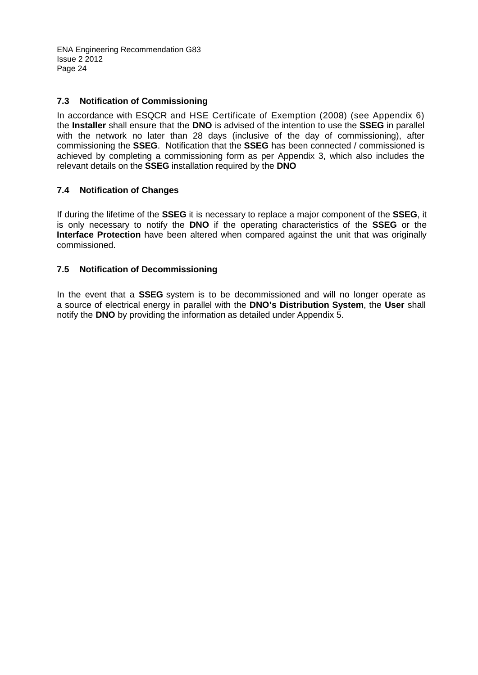## **7.3 Notification of Commissioning**

In accordance with ESQCR and HSE Certificate of Exemption (2008) (see Appendix 6) the **Installer** shall ensure that the **DNO** is advised of the intention to use the **SSEG** in parallel with the network no later than 28 days (inclusive of the day of commissioning), after commissioning the **SSEG**. Notification that the **SSEG** has been connected / commissioned is achieved by completing a commissioning form as per Appendix 3, which also includes the relevant details on the **SSEG** installation required by the **DNO**

## **7.4 Notification of Changes**

If during the lifetime of the **SSEG** it is necessary to replace a major component of the **SSEG**, it is only necessary to notify the **DNO** if the operating characteristics of the **SSEG** or the **Interface Protection** have been altered when compared against the unit that was originally commissioned.

## **7.5 Notification of Decommissioning**

In the event that a **SSEG** system is to be decommissioned and will no longer operate as a source of electrical energy in parallel with the **DNO's Distribution System**, the **User** shall notify the **DNO** by providing the information as detailed under Appendix 5.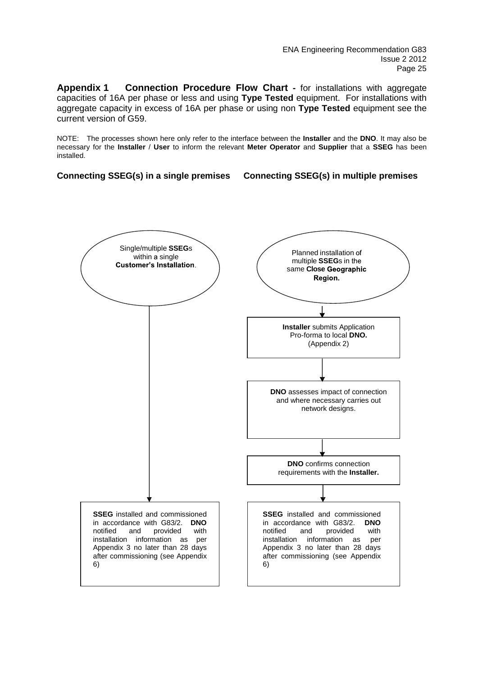**Appendix 1 Connection Procedure Flow Chart -** for installations with aggregate capacities of 16A per phase or less and using **Type Tested** equipment. For installations with aggregate capacity in excess of 16A per phase or using non **Type Tested** equipment see the current version of G59.

NOTE: The processes shown here only refer to the interface between the **Installer** and the **DNO**. It may also be necessary for the **Installer** / **User** to inform the relevant **Meter Operator** and **Supplier** that a **SSEG** has been installed.

**Connecting SSEG(s) in a single premises Connecting SSEG(s) in multiple premises**

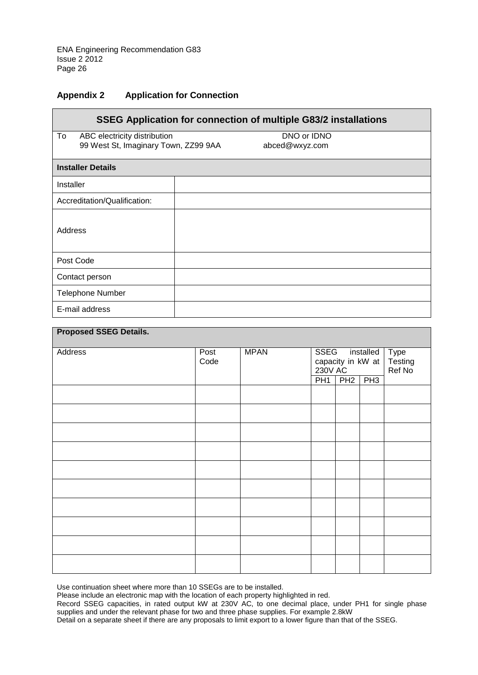## **Appendix 2 Application for Connection**

| SSEG Application for connection of multiple G83/2 installations            |                               |  |  |  |  |  |  |
|----------------------------------------------------------------------------|-------------------------------|--|--|--|--|--|--|
| To<br>ABC electricity distribution<br>99 West St, Imaginary Town, ZZ99 9AA | DNO or IDNO<br>abced@wxyz.com |  |  |  |  |  |  |
| <b>Installer Details</b>                                                   |                               |  |  |  |  |  |  |
| Installer                                                                  |                               |  |  |  |  |  |  |
| Accreditation/Qualification:                                               |                               |  |  |  |  |  |  |
| Address                                                                    |                               |  |  |  |  |  |  |
| Post Code                                                                  |                               |  |  |  |  |  |  |
| Contact person                                                             |                               |  |  |  |  |  |  |
| <b>Telephone Number</b>                                                    |                               |  |  |  |  |  |  |
| E-mail address                                                             |                               |  |  |  |  |  |  |

| <b>Proposed SSEG Details.</b> |              |             |                                                          |           |                                  |  |  |
|-------------------------------|--------------|-------------|----------------------------------------------------------|-----------|----------------------------------|--|--|
| Address                       | Post<br>Code | <b>MPAN</b> | <b>SSEG</b><br>installed<br>capacity in kW at<br>230V AC |           | <b>Type</b><br>Testing<br>Ref No |  |  |
|                               |              |             | PH1                                                      | $PH2$ PH3 |                                  |  |  |
|                               |              |             |                                                          |           |                                  |  |  |
|                               |              |             |                                                          |           |                                  |  |  |
|                               |              |             |                                                          |           |                                  |  |  |
|                               |              |             |                                                          |           |                                  |  |  |
|                               |              |             |                                                          |           |                                  |  |  |
|                               |              |             |                                                          |           |                                  |  |  |
|                               |              |             |                                                          |           |                                  |  |  |
|                               |              |             |                                                          |           |                                  |  |  |
|                               |              |             |                                                          |           |                                  |  |  |
|                               |              |             |                                                          |           |                                  |  |  |

Use continuation sheet where more than 10 SSEGs are to be installed.

Please include an electronic map with the location of each property highlighted in red.

Record SSEG capacities, in rated output kW at 230V AC, to one decimal place, under PH1 for single phase supplies and under the relevant phase for two and three phase supplies. For example 2.8kW

Detail on a separate sheet if there are any proposals to limit export to a lower figure than that of the SSEG.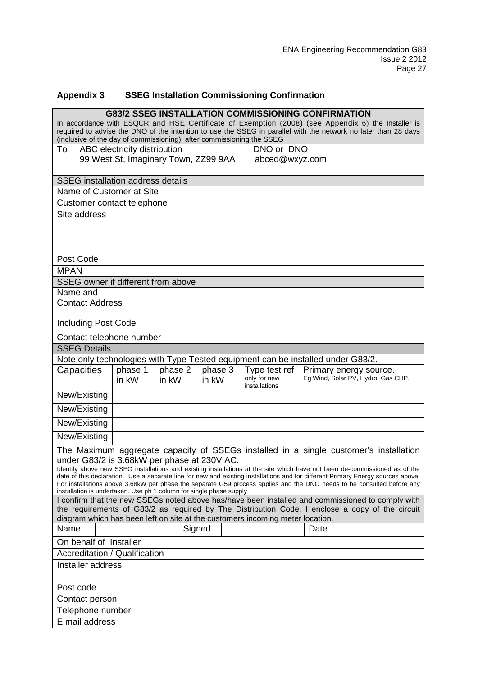## **Appendix 3 SSEG Installation Commissioning Confirmation**

|                                                                                                                                                                                                                      |                                                        |                  |        |                  |  |                                                |  | <b>G83/2 SSEG INSTALLATION COMMISSIONING CONFIRMATION</b> |                                                                                                                                                                                                                                                                                                                                                                                          |
|----------------------------------------------------------------------------------------------------------------------------------------------------------------------------------------------------------------------|--------------------------------------------------------|------------------|--------|------------------|--|------------------------------------------------|--|-----------------------------------------------------------|------------------------------------------------------------------------------------------------------------------------------------------------------------------------------------------------------------------------------------------------------------------------------------------------------------------------------------------------------------------------------------------|
| In accordance with ESQCR and HSE Certificate of Exemption (2008) (see Appendix 6) the Installer is<br>required to advise the DNO of the intention to use the SSEG in parallel with the network no later than 28 days |                                                        |                  |        |                  |  |                                                |  |                                                           |                                                                                                                                                                                                                                                                                                                                                                                          |
| (inclusive of the day of commissioning), after commissioning the SSEG                                                                                                                                                |                                                        |                  |        |                  |  |                                                |  |                                                           |                                                                                                                                                                                                                                                                                                                                                                                          |
| To                                                                                                                                                                                                                   | ABC electricity distribution                           |                  |        |                  |  | DNO or IDNO                                    |  |                                                           |                                                                                                                                                                                                                                                                                                                                                                                          |
|                                                                                                                                                                                                                      | 99 West St, Imaginary Town, ZZ99 9AA<br>abced@wxyz.com |                  |        |                  |  |                                                |  |                                                           |                                                                                                                                                                                                                                                                                                                                                                                          |
| <b>SSEG</b> installation address details                                                                                                                                                                             |                                                        |                  |        |                  |  |                                                |  |                                                           |                                                                                                                                                                                                                                                                                                                                                                                          |
| Name of Customer at Site                                                                                                                                                                                             |                                                        |                  |        |                  |  |                                                |  |                                                           |                                                                                                                                                                                                                                                                                                                                                                                          |
| Customer contact telephone                                                                                                                                                                                           |                                                        |                  |        |                  |  |                                                |  |                                                           |                                                                                                                                                                                                                                                                                                                                                                                          |
| Site address                                                                                                                                                                                                         |                                                        |                  |        |                  |  |                                                |  |                                                           |                                                                                                                                                                                                                                                                                                                                                                                          |
|                                                                                                                                                                                                                      |                                                        |                  |        |                  |  |                                                |  |                                                           |                                                                                                                                                                                                                                                                                                                                                                                          |
| Post Code                                                                                                                                                                                                            |                                                        |                  |        |                  |  |                                                |  |                                                           |                                                                                                                                                                                                                                                                                                                                                                                          |
| <b>MPAN</b>                                                                                                                                                                                                          |                                                        |                  |        |                  |  |                                                |  |                                                           |                                                                                                                                                                                                                                                                                                                                                                                          |
| SSEG owner if different from above                                                                                                                                                                                   |                                                        |                  |        |                  |  |                                                |  |                                                           |                                                                                                                                                                                                                                                                                                                                                                                          |
| Name and<br><b>Contact Address</b>                                                                                                                                                                                   |                                                        |                  |        |                  |  |                                                |  |                                                           |                                                                                                                                                                                                                                                                                                                                                                                          |
|                                                                                                                                                                                                                      |                                                        |                  |        |                  |  |                                                |  |                                                           |                                                                                                                                                                                                                                                                                                                                                                                          |
| <b>Including Post Code</b>                                                                                                                                                                                           |                                                        |                  |        |                  |  |                                                |  |                                                           |                                                                                                                                                                                                                                                                                                                                                                                          |
| Contact telephone number                                                                                                                                                                                             |                                                        |                  |        |                  |  |                                                |  |                                                           |                                                                                                                                                                                                                                                                                                                                                                                          |
| <b>SSEG Details</b>                                                                                                                                                                                                  |                                                        |                  |        |                  |  |                                                |  |                                                           |                                                                                                                                                                                                                                                                                                                                                                                          |
| Note only technologies with Type Tested equipment can be installed under G83/2.                                                                                                                                      |                                                        |                  |        |                  |  |                                                |  |                                                           |                                                                                                                                                                                                                                                                                                                                                                                          |
| Capacities                                                                                                                                                                                                           | phase 1<br>in kW                                       | phase 2<br>in kW |        | phase 3<br>in kW |  | Type test ref<br>only for new<br>installations |  |                                                           | Primary energy source.<br>Eg Wind, Solar PV, Hydro, Gas CHP.                                                                                                                                                                                                                                                                                                                             |
| New/Existing                                                                                                                                                                                                         |                                                        |                  |        |                  |  |                                                |  |                                                           |                                                                                                                                                                                                                                                                                                                                                                                          |
| New/Existing                                                                                                                                                                                                         |                                                        |                  |        |                  |  |                                                |  |                                                           |                                                                                                                                                                                                                                                                                                                                                                                          |
| New/Existing                                                                                                                                                                                                         |                                                        |                  |        |                  |  |                                                |  |                                                           |                                                                                                                                                                                                                                                                                                                                                                                          |
| New/Existing                                                                                                                                                                                                         |                                                        |                  |        |                  |  |                                                |  |                                                           |                                                                                                                                                                                                                                                                                                                                                                                          |
|                                                                                                                                                                                                                      |                                                        |                  |        |                  |  |                                                |  |                                                           | The Maximum aggregate capacity of SSEGs installed in a single customer's installation                                                                                                                                                                                                                                                                                                    |
| under G83/2 is 3.68kW per phase at 230V AC.                                                                                                                                                                          |                                                        |                  |        |                  |  |                                                |  |                                                           |                                                                                                                                                                                                                                                                                                                                                                                          |
| installation is undertaken. Use ph 1 column for single phase supply                                                                                                                                                  |                                                        |                  |        |                  |  |                                                |  |                                                           | Identify above new SSEG installations and existing installations at the site which have not been de-commissioned as of the<br>date of this declaration. Use a separate line for new and existing installations and for different Primary Energy sources above.<br>For installations above 3.68kW per phase the separate G59 process applies and the DNO needs to be consulted before any |
|                                                                                                                                                                                                                      |                                                        |                  |        |                  |  |                                                |  |                                                           | I confirm that the new SSEGs noted above has/have been installed and commissioned to comply with                                                                                                                                                                                                                                                                                         |
|                                                                                                                                                                                                                      |                                                        |                  |        |                  |  |                                                |  |                                                           | the requirements of G83/2 as required by The Distribution Code. I enclose a copy of the circuit                                                                                                                                                                                                                                                                                          |
| diagram which has been left on site at the customers incoming meter location.                                                                                                                                        |                                                        |                  |        |                  |  |                                                |  |                                                           |                                                                                                                                                                                                                                                                                                                                                                                          |
| Name                                                                                                                                                                                                                 |                                                        |                  | Signed |                  |  |                                                |  | Date                                                      |                                                                                                                                                                                                                                                                                                                                                                                          |
| On behalf of Installer                                                                                                                                                                                               |                                                        |                  |        |                  |  |                                                |  |                                                           |                                                                                                                                                                                                                                                                                                                                                                                          |
| <b>Accreditation / Qualification</b>                                                                                                                                                                                 |                                                        |                  |        |                  |  |                                                |  |                                                           |                                                                                                                                                                                                                                                                                                                                                                                          |
| Installer address                                                                                                                                                                                                    |                                                        |                  |        |                  |  |                                                |  |                                                           |                                                                                                                                                                                                                                                                                                                                                                                          |
| Post code                                                                                                                                                                                                            |                                                        |                  |        |                  |  |                                                |  |                                                           |                                                                                                                                                                                                                                                                                                                                                                                          |
| Contact person                                                                                                                                                                                                       |                                                        |                  |        |                  |  |                                                |  |                                                           |                                                                                                                                                                                                                                                                                                                                                                                          |
| Telephone number                                                                                                                                                                                                     |                                                        |                  |        |                  |  |                                                |  |                                                           |                                                                                                                                                                                                                                                                                                                                                                                          |
| E:mail address                                                                                                                                                                                                       |                                                        |                  |        |                  |  |                                                |  |                                                           |                                                                                                                                                                                                                                                                                                                                                                                          |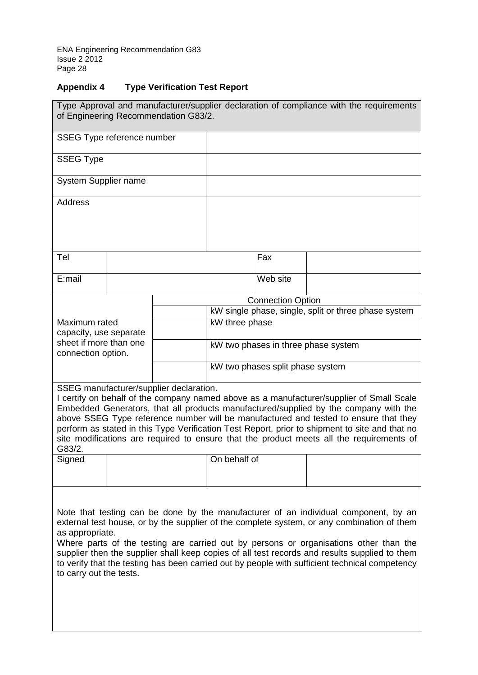## **Appendix 4 Type Verification Test Report**

| Type Approval and manufacturer/supplier declaration of compliance with the requirements<br>of Engineering Recommendation G83/2.                                                                                                                                                                                                                                                                                                                                                                                             |  |  |                                     |                          |                                                      |  |
|-----------------------------------------------------------------------------------------------------------------------------------------------------------------------------------------------------------------------------------------------------------------------------------------------------------------------------------------------------------------------------------------------------------------------------------------------------------------------------------------------------------------------------|--|--|-------------------------------------|--------------------------|------------------------------------------------------|--|
| SSEG Type reference number                                                                                                                                                                                                                                                                                                                                                                                                                                                                                                  |  |  |                                     |                          |                                                      |  |
| <b>SSEG Type</b>                                                                                                                                                                                                                                                                                                                                                                                                                                                                                                            |  |  |                                     |                          |                                                      |  |
| System Supplier name                                                                                                                                                                                                                                                                                                                                                                                                                                                                                                        |  |  |                                     |                          |                                                      |  |
| <b>Address</b>                                                                                                                                                                                                                                                                                                                                                                                                                                                                                                              |  |  |                                     |                          |                                                      |  |
|                                                                                                                                                                                                                                                                                                                                                                                                                                                                                                                             |  |  |                                     |                          |                                                      |  |
| Tel                                                                                                                                                                                                                                                                                                                                                                                                                                                                                                                         |  |  |                                     | Fax                      |                                                      |  |
| E:mail                                                                                                                                                                                                                                                                                                                                                                                                                                                                                                                      |  |  |                                     | Web site                 |                                                      |  |
|                                                                                                                                                                                                                                                                                                                                                                                                                                                                                                                             |  |  |                                     | <b>Connection Option</b> |                                                      |  |
|                                                                                                                                                                                                                                                                                                                                                                                                                                                                                                                             |  |  |                                     |                          | kW single phase, single, split or three phase system |  |
| Maximum rated                                                                                                                                                                                                                                                                                                                                                                                                                                                                                                               |  |  | kW three phase                      |                          |                                                      |  |
| capacity, use separate                                                                                                                                                                                                                                                                                                                                                                                                                                                                                                      |  |  |                                     |                          |                                                      |  |
| sheet if more than one                                                                                                                                                                                                                                                                                                                                                                                                                                                                                                      |  |  | kW two phases in three phase system |                          |                                                      |  |
| connection option.                                                                                                                                                                                                                                                                                                                                                                                                                                                                                                          |  |  |                                     |                          |                                                      |  |
|                                                                                                                                                                                                                                                                                                                                                                                                                                                                                                                             |  |  | kW two phases split phase system    |                          |                                                      |  |
| SSEG manufacturer/supplier declaration.<br>I certify on behalf of the company named above as a manufacturer/supplier of Small Scale<br>Embedded Generators, that all products manufactured/supplied by the company with the<br>above SSEG Type reference number will be manufactured and tested to ensure that they<br>perform as stated in this Type Verification Test Report, prior to shipment to site and that no<br>site modifications are required to ensure that the product meets all the requirements of<br>G83/2. |  |  |                                     |                          |                                                      |  |
| Signed                                                                                                                                                                                                                                                                                                                                                                                                                                                                                                                      |  |  | On behalf of                        |                          |                                                      |  |
| Note that testing can be done by the manufacturer of an individual component, by an<br>external test house, or by the supplier of the complete system, or any combination of them<br>as appropriate.<br>Where parts of the testing are carried out by persons or organisations other than the<br>supplier then the supplier shall keep copies of all test records and results supplied to them<br>to verify that the testing has been carried out by people with sufficient technical competency<br>to carry out the tests. |  |  |                                     |                          |                                                      |  |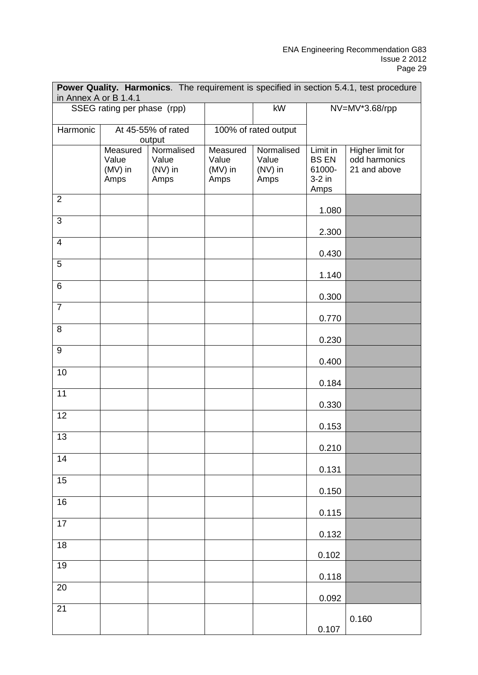| Power Quality. Harmonics. The requirement is specified in section 5.4.1, test procedure<br>in Annex A or B 1.4.1 |                                        |                                        |                                        |                                        |                                                        |                                                   |  |
|------------------------------------------------------------------------------------------------------------------|----------------------------------------|----------------------------------------|----------------------------------------|----------------------------------------|--------------------------------------------------------|---------------------------------------------------|--|
|                                                                                                                  | SSEG rating per phase (rpp)            |                                        |                                        | kW                                     |                                                        | NV=MV*3.68/rpp                                    |  |
| Harmonic                                                                                                         |                                        | At 45-55% of rated<br>output           |                                        | 100% of rated output                   |                                                        |                                                   |  |
|                                                                                                                  | Measured<br>Value<br>$(MV)$ in<br>Amps | Normalised<br>Value<br>(NV) in<br>Amps | Measured<br>Value<br>$(MV)$ in<br>Amps | Normalised<br>Value<br>(NV) in<br>Amps | Limit in<br><b>BS EN</b><br>61000-<br>$3-2$ in<br>Amps | Higher limit for<br>odd harmonics<br>21 and above |  |
| $\overline{2}$                                                                                                   |                                        |                                        |                                        |                                        | 1.080                                                  |                                                   |  |
| 3                                                                                                                |                                        |                                        |                                        |                                        | 2.300                                                  |                                                   |  |
| $\overline{4}$                                                                                                   |                                        |                                        |                                        |                                        | 0.430                                                  |                                                   |  |
| 5                                                                                                                |                                        |                                        |                                        |                                        | 1.140                                                  |                                                   |  |
| 6                                                                                                                |                                        |                                        |                                        |                                        | 0.300                                                  |                                                   |  |
| $\overline{7}$                                                                                                   |                                        |                                        |                                        |                                        | 0.770                                                  |                                                   |  |
| 8                                                                                                                |                                        |                                        |                                        |                                        | 0.230                                                  |                                                   |  |
| 9                                                                                                                |                                        |                                        |                                        |                                        | 0.400                                                  |                                                   |  |
| 10                                                                                                               |                                        |                                        |                                        |                                        | 0.184                                                  |                                                   |  |
| 11                                                                                                               |                                        |                                        |                                        |                                        | 0.330                                                  |                                                   |  |
| 12                                                                                                               |                                        |                                        |                                        |                                        | 0.153                                                  |                                                   |  |
| 13                                                                                                               |                                        |                                        |                                        |                                        | 0.210                                                  |                                                   |  |
| 14                                                                                                               |                                        |                                        |                                        |                                        | 0.131                                                  |                                                   |  |
| 15                                                                                                               |                                        |                                        |                                        |                                        | 0.150                                                  |                                                   |  |
| 16                                                                                                               |                                        |                                        |                                        |                                        | 0.115                                                  |                                                   |  |
| $\overline{17}$                                                                                                  |                                        |                                        |                                        |                                        | 0.132                                                  |                                                   |  |
| $\overline{18}$<br>19                                                                                            |                                        |                                        |                                        |                                        | 0.102                                                  |                                                   |  |
| 20                                                                                                               |                                        |                                        |                                        |                                        | 0.118                                                  |                                                   |  |
| 21                                                                                                               |                                        |                                        |                                        |                                        | 0.092                                                  |                                                   |  |
|                                                                                                                  |                                        |                                        |                                        |                                        | 0.107                                                  | 0.160                                             |  |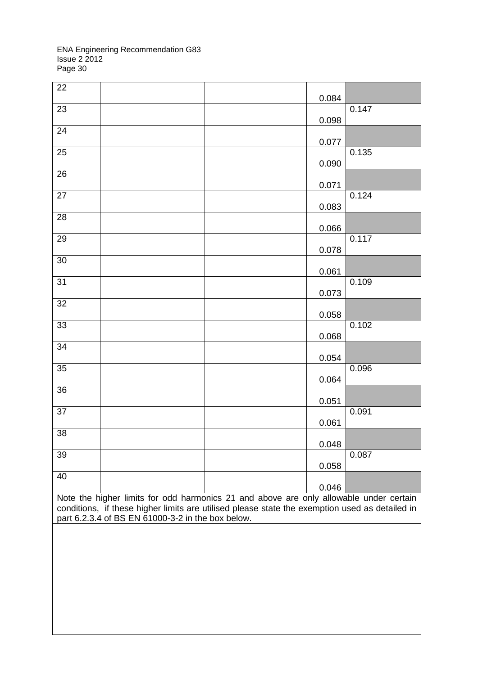| 22                                                                                                                                                                                                                                            |  |  |  |  | 0.084 |       |
|-----------------------------------------------------------------------------------------------------------------------------------------------------------------------------------------------------------------------------------------------|--|--|--|--|-------|-------|
| 23                                                                                                                                                                                                                                            |  |  |  |  | 0.098 | 0.147 |
| 24                                                                                                                                                                                                                                            |  |  |  |  | 0.077 |       |
| 25                                                                                                                                                                                                                                            |  |  |  |  | 0.090 | 0.135 |
| 26                                                                                                                                                                                                                                            |  |  |  |  | 0.071 |       |
| 27                                                                                                                                                                                                                                            |  |  |  |  | 0.083 | 0.124 |
| 28                                                                                                                                                                                                                                            |  |  |  |  | 0.066 |       |
| 29                                                                                                                                                                                                                                            |  |  |  |  | 0.078 | 0.117 |
| 30                                                                                                                                                                                                                                            |  |  |  |  | 0.061 |       |
| 31                                                                                                                                                                                                                                            |  |  |  |  | 0.073 | 0.109 |
| 32                                                                                                                                                                                                                                            |  |  |  |  | 0.058 |       |
| 33                                                                                                                                                                                                                                            |  |  |  |  | 0.068 | 0.102 |
| 34                                                                                                                                                                                                                                            |  |  |  |  | 0.054 |       |
| 35                                                                                                                                                                                                                                            |  |  |  |  | 0.064 | 0.096 |
| 36                                                                                                                                                                                                                                            |  |  |  |  | 0.051 |       |
| 37                                                                                                                                                                                                                                            |  |  |  |  | 0.061 | 0.091 |
| 38                                                                                                                                                                                                                                            |  |  |  |  | 0.048 |       |
| 39                                                                                                                                                                                                                                            |  |  |  |  | 0.058 | 0.087 |
| 40                                                                                                                                                                                                                                            |  |  |  |  | 0.046 |       |
| Note the higher limits for odd harmonics 21 and above are only allowable under certain<br>conditions, if these higher limits are utilised please state the exemption used as detailed in<br>part 6.2.3.4 of BS EN 61000-3-2 in the box below. |  |  |  |  |       |       |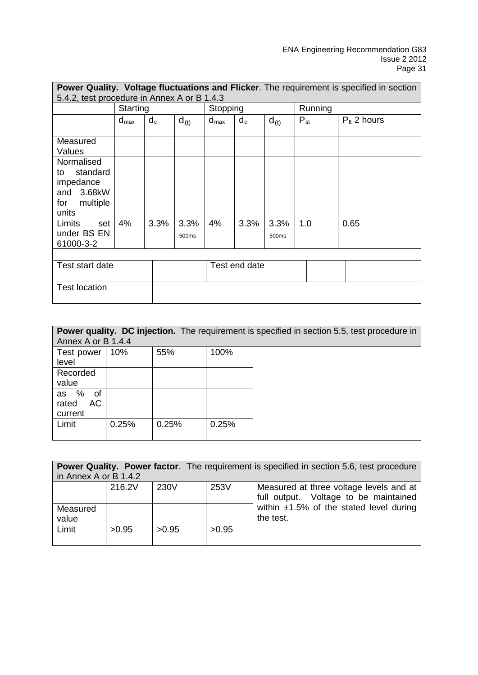| <b>Power Quality. Voltage fluctuations and Flicker.</b> The requirement is specified in section |                                             |       |               |                  |               |               |                 |                        |
|-------------------------------------------------------------------------------------------------|---------------------------------------------|-------|---------------|------------------|---------------|---------------|-----------------|------------------------|
|                                                                                                 | 5.4.2, test procedure in Annex A or B 1.4.3 |       |               |                  |               |               |                 |                        |
|                                                                                                 | Starting                                    |       |               | Stopping         |               |               | Running         |                        |
|                                                                                                 | $d_{\text{max}}$                            | $d_c$ | $d_{(t)}$     | $d_{\text{max}}$ | $d_c$         | $d_{(t)}$     | $P_{\text{st}}$ | $P_{\text{H}}$ 2 hours |
| Measured<br>Values                                                                              |                                             |       |               |                  |               |               |                 |                        |
| Normalised<br>standard<br>to<br>impedance<br>and 3.68kW<br>multiple<br>for<br>units             |                                             |       |               |                  |               |               |                 |                        |
| Limits<br>set<br>under BS EN<br>61000-3-2                                                       | 4%                                          | 3.3%  | 3.3%<br>500ms | 4%               | 3.3%          | 3.3%<br>500ms | 1.0             | 0.65                   |
| Test start date                                                                                 |                                             |       |               |                  | Test end date |               |                 |                        |
| <b>Test location</b>                                                                            |                                             |       |               |                  |               |               |                 |                        |

| Power quality. DC injection. The requirement is specified in section 5.5, test procedure in<br>Annex A or B 1.4.4 |       |       |       |  |  |  |
|-------------------------------------------------------------------------------------------------------------------|-------|-------|-------|--|--|--|
| Test power<br>level                                                                                               | 10%   | 55%   | 100%  |  |  |  |
| Recorded<br>value                                                                                                 |       |       |       |  |  |  |
| as %<br>of<br>AC<br>rated<br>current                                                                              |       |       |       |  |  |  |
| Limit                                                                                                             | 0.25% | 0.25% | 0.25% |  |  |  |

|                   |                       |       |       | <b>Power Quality. Power factor.</b> The requirement is specified in section 5.6, test procedure |  |  |  |  |  |
|-------------------|-----------------------|-------|-------|-------------------------------------------------------------------------------------------------|--|--|--|--|--|
|                   | in Annex A or B 1.4.2 |       |       |                                                                                                 |  |  |  |  |  |
|                   | 216.2V                | 230V  | 253V  | Measured at three voltage levels and at<br>full output. Voltage to be maintained                |  |  |  |  |  |
| Measured<br>value |                       |       |       | within $\pm 1.5\%$ of the stated level during<br>the test.                                      |  |  |  |  |  |
| Limit             | >0.95                 | >0.95 | >0.95 |                                                                                                 |  |  |  |  |  |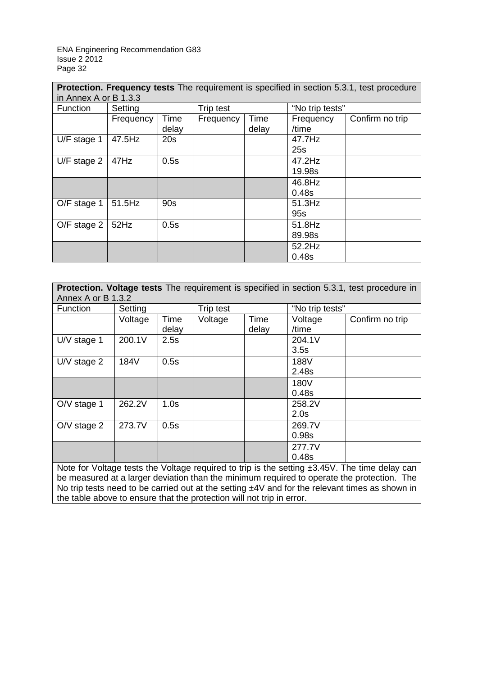**Protection. Frequency tests** The requirement is specified in section 5.3.1, test procedure in Annex A or B 1.3.3

| $III$ annoa a vi d'I.J.J |           |               |           |               |                    |                 |
|--------------------------|-----------|---------------|-----------|---------------|--------------------|-----------------|
| Function                 | Setting   |               | Trip test |               | "No trip tests"    |                 |
|                          | Frequency | Time<br>delay | Frequency | Time<br>delay | Frequency<br>/time | Confirm no trip |
| U/F stage 1              | 47.5Hz    | 20s           |           |               | 47.7Hz<br>25s      |                 |
| $U/F$ stage 2            | 47Hz      | 0.5s          |           |               | 47.2Hz<br>19.98s   |                 |
|                          |           |               |           |               | 46.8Hz<br>0.48s    |                 |
| O/F stage 1              | 51.5Hz    | 90s           |           |               | 51.3Hz<br>95s      |                 |
| O/F stage 2              | 52Hz      | 0.5s          |           |               | 51.8Hz<br>89.98s   |                 |
|                          |           |               |           |               | 52.2Hz<br>0.48s    |                 |

| Protection. Voltage tests The requirement is specified in section 5.3.1, test procedure in         |         |       |           |       |                 |                                                                                                  |  |
|----------------------------------------------------------------------------------------------------|---------|-------|-----------|-------|-----------------|--------------------------------------------------------------------------------------------------|--|
| Annex A or B 1.3.2                                                                                 |         |       |           |       |                 |                                                                                                  |  |
| Function                                                                                           | Setting |       | Trip test |       | "No trip tests" |                                                                                                  |  |
|                                                                                                    | Voltage | Time  | Voltage   | Time  | Voltage         | Confirm no trip                                                                                  |  |
|                                                                                                    |         | delay |           | delay | /time           |                                                                                                  |  |
| $UV$ stage 1                                                                                       | 200.1V  | 2.5s  |           |       | 204.1V          |                                                                                                  |  |
|                                                                                                    |         |       |           |       | 3.5s            |                                                                                                  |  |
| $UV$ stage 2                                                                                       | 184V    | 0.5s  |           |       | 188V            |                                                                                                  |  |
|                                                                                                    |         |       |           |       | 2.48s           |                                                                                                  |  |
|                                                                                                    |         |       |           |       | 180V            |                                                                                                  |  |
|                                                                                                    |         |       |           |       | 0.48s           |                                                                                                  |  |
| $O/V$ stage 1                                                                                      | 262.2V  | 1.0s  |           |       | 258.2V          |                                                                                                  |  |
|                                                                                                    |         |       |           |       | 2.0s            |                                                                                                  |  |
| $O/V$ stage 2                                                                                      | 273.7V  | 0.5s  |           |       | 269.7V          |                                                                                                  |  |
|                                                                                                    |         |       |           |       | 0.98s           |                                                                                                  |  |
|                                                                                                    |         |       |           |       | 277.7V          |                                                                                                  |  |
|                                                                                                    |         |       |           |       | 0.48s           |                                                                                                  |  |
| Note for Voltage tests the Voltage required to trip is the setting $\pm$ 3.45V. The time delay can |         |       |           |       |                 |                                                                                                  |  |
| be measured at a larger deviation than the minimum required to operate the protection. The         |         |       |           |       |                 |                                                                                                  |  |
|                                                                                                    |         |       |           |       |                 | No trip tests need to be carried out at the setting $±4V$ and for the relevant times as shown in |  |
| the table above to ensure that the protection will not trip in error.                              |         |       |           |       |                 |                                                                                                  |  |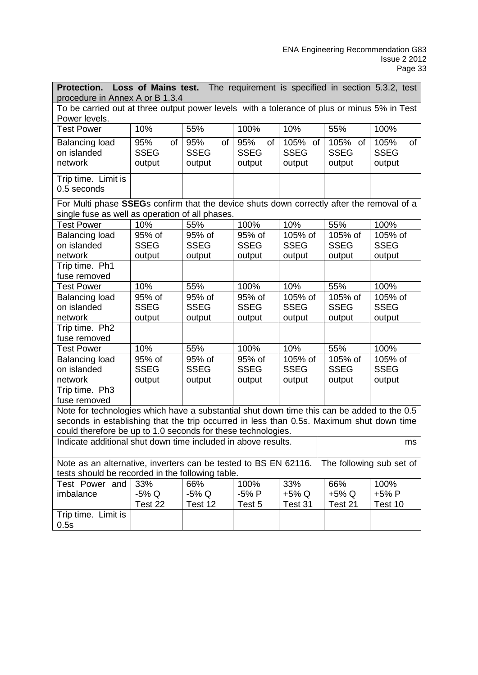| Loss of Mains test. The requirement is specified in section 5.3.2, test<br><b>Protection.</b>                                                |                                                                                                                                                 |             |             |             |             |             |  |
|----------------------------------------------------------------------------------------------------------------------------------------------|-------------------------------------------------------------------------------------------------------------------------------------------------|-------------|-------------|-------------|-------------|-------------|--|
| procedure in Annex A or B 1.3.4                                                                                                              |                                                                                                                                                 |             |             |             |             |             |  |
| To be carried out at three output power levels with a tolerance of plus or minus 5% in Test<br>Power levels.                                 |                                                                                                                                                 |             |             |             |             |             |  |
| <b>Test Power</b>                                                                                                                            | 10%                                                                                                                                             | 55%         | 100%        | 10%         | 55%         | 100%        |  |
| <b>Balancing load</b>                                                                                                                        | 95%<br>of                                                                                                                                       | 95%<br>of   | 95%<br>of   | 105%<br>of  | 105% of     | 105%<br>of  |  |
| on islanded                                                                                                                                  | <b>SSEG</b>                                                                                                                                     | <b>SSEG</b> | <b>SSEG</b> | <b>SSEG</b> | <b>SSEG</b> | <b>SSEG</b> |  |
| network                                                                                                                                      | output                                                                                                                                          | output      | output      | output      | output      | output      |  |
| Trip time. Limit is<br>0.5 seconds                                                                                                           |                                                                                                                                                 |             |             |             |             |             |  |
| For Multi phase SSEGs confirm that the device shuts down correctly after the removal of a<br>single fuse as well as operation of all phases. |                                                                                                                                                 |             |             |             |             |             |  |
| <b>Test Power</b>                                                                                                                            | 10%                                                                                                                                             | 55%         | 100%        | 10%         | 55%         | 100%        |  |
| <b>Balancing load</b>                                                                                                                        | 95% of                                                                                                                                          | 95% of      | 95% of      | 105% of     | 105% of     | 105% of     |  |
| on islanded                                                                                                                                  | <b>SSEG</b>                                                                                                                                     | <b>SSEG</b> | <b>SSEG</b> | <b>SSEG</b> | <b>SSEG</b> | <b>SSEG</b> |  |
| network                                                                                                                                      | output                                                                                                                                          | output      | output      | output      | output      | output      |  |
| Trip time. Ph1                                                                                                                               |                                                                                                                                                 |             |             |             |             |             |  |
| fuse removed                                                                                                                                 |                                                                                                                                                 |             |             |             |             |             |  |
| <b>Test Power</b>                                                                                                                            | 10%                                                                                                                                             | 55%         | 100%        | 10%         | 55%         | 100%        |  |
| <b>Balancing load</b>                                                                                                                        | 95% of                                                                                                                                          | 95% of      | 95% of      | 105% of     | 105% of     | 105% of     |  |
| on islanded                                                                                                                                  | <b>SSEG</b>                                                                                                                                     | <b>SSEG</b> | <b>SSEG</b> | <b>SSEG</b> | <b>SSEG</b> | <b>SSEG</b> |  |
| network                                                                                                                                      | output                                                                                                                                          | output      | output      | output      | output      | output      |  |
| Trip time. Ph2<br>fuse removed                                                                                                               |                                                                                                                                                 |             |             |             |             |             |  |
| <b>Test Power</b>                                                                                                                            | 10%                                                                                                                                             | 55%         | 100%        | 10%         | 55%         | 100%        |  |
| <b>Balancing load</b>                                                                                                                        | 95% of                                                                                                                                          | 95% of      | 95% of      | 105% of     | 105% of     | 105% of     |  |
| on islanded                                                                                                                                  | <b>SSEG</b>                                                                                                                                     | <b>SSEG</b> | <b>SSEG</b> | <b>SSEG</b> | <b>SSEG</b> | <b>SSEG</b> |  |
| network                                                                                                                                      | output                                                                                                                                          | output      | output      | output      | output      | output      |  |
| Trip time. Ph3                                                                                                                               |                                                                                                                                                 |             |             |             |             |             |  |
| fuse removed                                                                                                                                 |                                                                                                                                                 |             |             |             |             |             |  |
| Note for technologies which have a substantial shut down time this can be added to the 0.5                                                   |                                                                                                                                                 |             |             |             |             |             |  |
| seconds in establishing that the trip occurred in less than 0.5s. Maximum shut down time                                                     |                                                                                                                                                 |             |             |             |             |             |  |
| could therefore be up to 1.0 seconds for these technologies.                                                                                 |                                                                                                                                                 |             |             |             |             |             |  |
|                                                                                                                                              | Indicate additional shut down time included in above results.<br>ms                                                                             |             |             |             |             |             |  |
|                                                                                                                                              | Note as an alternative, inverters can be tested to BS EN 62116.<br>The following sub set of<br>tests should be recorded in the following table. |             |             |             |             |             |  |
| Test Power and                                                                                                                               | 33%                                                                                                                                             | 66%         | 100%        | 33%         | 66%         | 100%        |  |
| imbalance                                                                                                                                    | $-5\%$ Q                                                                                                                                        | $-5\%$ Q    | -5% P       | +5% Q       | +5% Q       | $+5%P$      |  |
|                                                                                                                                              | Test 22                                                                                                                                         | Test 12     | Test 5      | Test 31     | Test 21     | Test 10     |  |
| Trip time. Limit is                                                                                                                          |                                                                                                                                                 |             |             |             |             |             |  |
| 0.5s                                                                                                                                         |                                                                                                                                                 |             |             |             |             |             |  |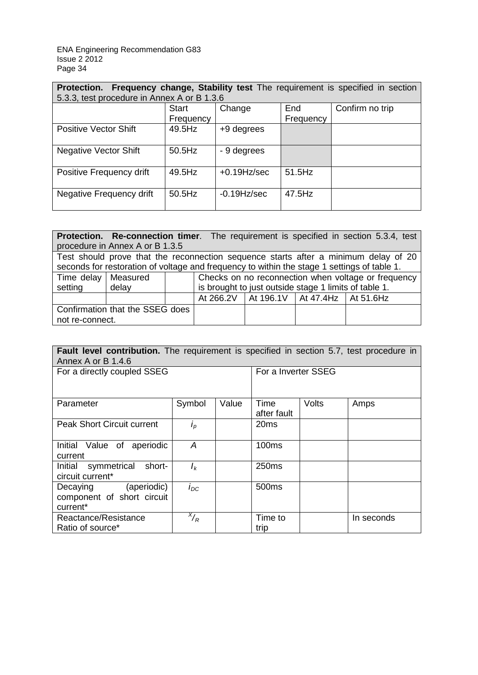| Frequency change, Stability test The requirement is specified in section<br><b>Protection.</b><br>5.3.3, test procedure in Annex A or B 1.3.6 |              |                |           |                 |  |  |  |  |
|-----------------------------------------------------------------------------------------------------------------------------------------------|--------------|----------------|-----------|-----------------|--|--|--|--|
|                                                                                                                                               | <b>Start</b> | Change         | End       | Confirm no trip |  |  |  |  |
|                                                                                                                                               | Frequency    |                | Frequency |                 |  |  |  |  |
| <b>Positive Vector Shift</b>                                                                                                                  | 49.5Hz       | +9 degrees     |           |                 |  |  |  |  |
| <b>Negative Vector Shift</b>                                                                                                                  | 50.5Hz       | - 9 degrees    |           |                 |  |  |  |  |
| Positive Frequency drift                                                                                                                      | 49.5Hz       | $+0.19$ Hz/sec | 51.5Hz    |                 |  |  |  |  |
| Negative Frequency drift                                                                                                                      | 50.5Hz       | $-0.19$ Hz/sec | 47.5Hz    |                 |  |  |  |  |

|                                                                                     |                                                                                             |  |                                                       |                                               |  | <b>Protection.</b> Re-connection timer. The requirement is specified in section 5.3.4, test |  |  |
|-------------------------------------------------------------------------------------|---------------------------------------------------------------------------------------------|--|-------------------------------------------------------|-----------------------------------------------|--|---------------------------------------------------------------------------------------------|--|--|
| procedure in Annex A or B 1.3.5                                                     |                                                                                             |  |                                                       |                                               |  |                                                                                             |  |  |
| Test should prove that the reconnection sequence starts after a minimum delay of 20 |                                                                                             |  |                                                       |                                               |  |                                                                                             |  |  |
|                                                                                     | seconds for restoration of voltage and frequency to within the stage 1 settings of table 1. |  |                                                       |                                               |  |                                                                                             |  |  |
| Time delay   Measured                                                               |                                                                                             |  | Checks on no reconnection when voltage or frequency   |                                               |  |                                                                                             |  |  |
| setting                                                                             | delay                                                                                       |  | is brought to just outside stage 1 limits of table 1. |                                               |  |                                                                                             |  |  |
|                                                                                     |                                                                                             |  |                                                       | At 266.2V   At 196.1V   At 47.4Hz   At 51.6Hz |  |                                                                                             |  |  |
| Confirmation that the SSEG does                                                     |                                                                                             |  |                                                       |                                               |  |                                                                                             |  |  |
| not re-connect.                                                                     |                                                                                             |  |                                                       |                                               |  |                                                                                             |  |  |

| <b>Fault level contribution.</b> The requirement is specified in section 5.7, test procedure in<br>Annex A or B 1.4.6 |                   |       |                     |                     |            |  |
|-----------------------------------------------------------------------------------------------------------------------|-------------------|-------|---------------------|---------------------|------------|--|
| For a directly coupled SSEG                                                                                           |                   |       |                     | For a Inverter SSEG |            |  |
|                                                                                                                       |                   |       |                     |                     |            |  |
| Parameter                                                                                                             | Symbol            | Value | Time<br>after fault | Volts               | Amps       |  |
| <b>Peak Short Circuit current</b>                                                                                     | $i_p$             |       | 20 <sub>ms</sub>    |                     |            |  |
| Initial Value of aperiodic<br>current                                                                                 | A                 |       | 100 <sub>ms</sub>   |                     |            |  |
| symmetrical<br>short-<br>Initial<br>circuit current*                                                                  | $I_k$             |       | 250 <sub>ms</sub>   |                     |            |  |
| (aperiodic)<br>Decaying<br>component of short circuit<br>current*                                                     | $I_{DC}$          |       | 500 <sub>ms</sub>   |                     |            |  |
| Reactance/Resistance<br>Ratio of source*                                                                              | $x/$ <sub>R</sub> |       | Time to<br>trip     |                     | In seconds |  |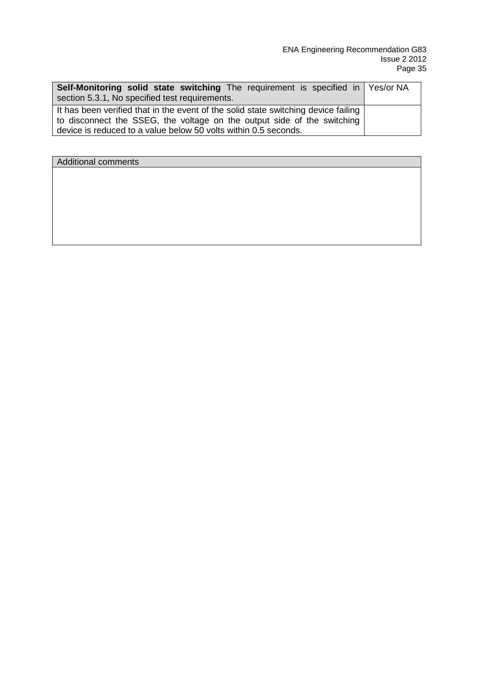| Self-Monitoring solid state switching The requirement is specified in Yes/or NA<br>section 5.3.1, No specified test requirements. |  |  |  |  |  |
|-----------------------------------------------------------------------------------------------------------------------------------|--|--|--|--|--|
| It has been verified that in the event of the solid state switching device failing                                                |  |  |  |  |  |
| to disconnect the SSEG, the voltage on the output side of the switching                                                           |  |  |  |  |  |
| device is reduced to a value below 50 volts within 0.5 seconds.                                                                   |  |  |  |  |  |

Additional comments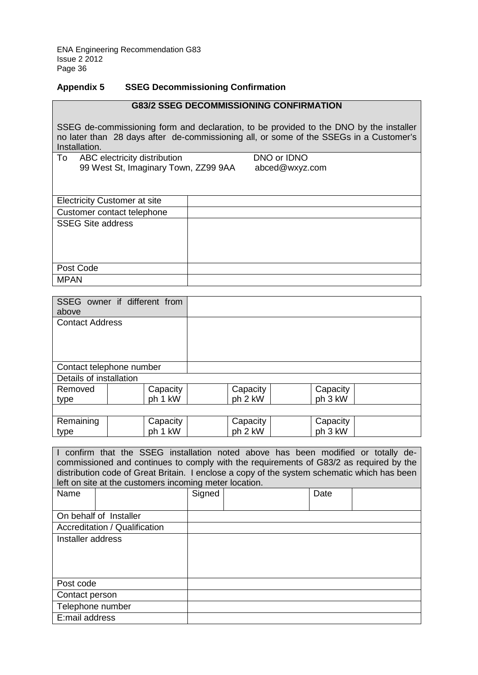## **Appendix 5 SSEG Decommissioning Confirmation**

| <b>G83/2 SSEG DECOMMISSIONING CONFIRMATION</b>                                                                                                                                                    |                |  |  |  |  |  |  |  |
|---------------------------------------------------------------------------------------------------------------------------------------------------------------------------------------------------|----------------|--|--|--|--|--|--|--|
| SSEG de-commissioning form and declaration, to be provided to the DNO by the installer<br>no later than 28 days after de-commissioning all, or some of the SSEGs in a Customer's<br>Installation. |                |  |  |  |  |  |  |  |
| To<br>ABC electricity distribution                                                                                                                                                                | DNO or IDNO    |  |  |  |  |  |  |  |
| 99 West St, Imaginary Town, ZZ99 9AA                                                                                                                                                              | abced@wxyz.com |  |  |  |  |  |  |  |
|                                                                                                                                                                                                   |                |  |  |  |  |  |  |  |
| <b>Electricity Customer at site</b>                                                                                                                                                               |                |  |  |  |  |  |  |  |
| Customer contact telephone                                                                                                                                                                        |                |  |  |  |  |  |  |  |
| <b>SSEG Site address</b>                                                                                                                                                                          |                |  |  |  |  |  |  |  |
| Post Code                                                                                                                                                                                         |                |  |  |  |  |  |  |  |
| MPAN                                                                                                                                                                                              |                |  |  |  |  |  |  |  |

| above                    | SSEG owner if different from |          |          |  |
|--------------------------|------------------------------|----------|----------|--|
| <b>Contact Address</b>   |                              |          |          |  |
| Contact telephone number |                              |          |          |  |
| Details of installation  |                              |          |          |  |
| Removed                  | Capacity                     | Capacity | Capacity |  |
| type                     | ph 1 kW                      | ph 2 kW  | ph 3 kW  |  |
|                          |                              |          |          |  |
| Remaining                | Capacity                     | Capacity | Capacity |  |
| type                     | ph 1 kW                      | ph 2 kW  | ph 3 kW  |  |

| confirm that the SSEG installation noted above has been modified or totally de-             |                        |        |  |  |      |  |
|---------------------------------------------------------------------------------------------|------------------------|--------|--|--|------|--|
| commissioned and continues to comply with the requirements of G83/2 as required by the      |                        |        |  |  |      |  |
| distribution code of Great Britain. I enclose a copy of the system schematic which has been |                        |        |  |  |      |  |
| left on site at the customers incoming meter location.                                      |                        |        |  |  |      |  |
| Name                                                                                        |                        | Signed |  |  | Date |  |
|                                                                                             |                        |        |  |  |      |  |
|                                                                                             | On behalf of Installer |        |  |  |      |  |
| Accreditation / Qualification                                                               |                        |        |  |  |      |  |
| Installer address                                                                           |                        |        |  |  |      |  |
|                                                                                             |                        |        |  |  |      |  |
|                                                                                             |                        |        |  |  |      |  |
|                                                                                             |                        |        |  |  |      |  |
| Post code                                                                                   |                        |        |  |  |      |  |
| Contact person                                                                              |                        |        |  |  |      |  |
| Telephone number                                                                            |                        |        |  |  |      |  |
| E:mail address                                                                              |                        |        |  |  |      |  |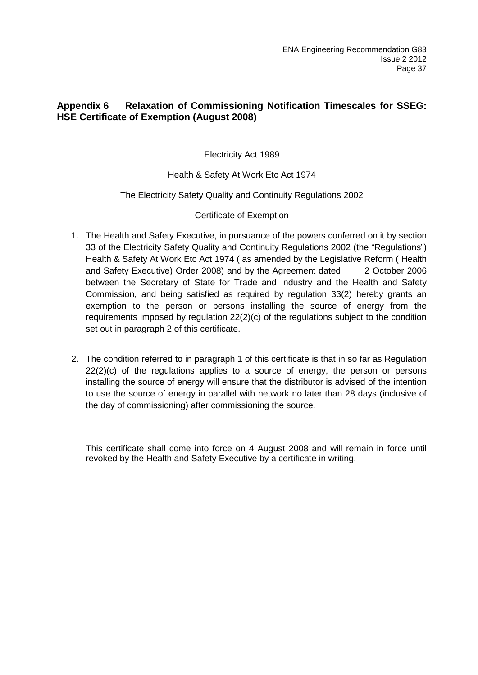## **Appendix 6 Relaxation of Commissioning Notification Timescales for SSEG: HSE Certificate of Exemption (August 2008)**

## Electricity Act 1989

## Health & Safety At Work Etc Act 1974

## The Electricity Safety Quality and Continuity Regulations 2002

## Certificate of Exemption

- 1. The Health and Safety Executive, in pursuance of the powers conferred on it by section 33 of the Electricity Safety Quality and Continuity Regulations 2002 (the "Regulations") Health & Safety At Work Etc Act 1974 ( as amended by the Legislative Reform ( Health and Safety Executive) Order 2008) and by the Agreement dated 2 October 2006 between the Secretary of State for Trade and Industry and the Health and Safety Commission, and being satisfied as required by regulation 33(2) hereby grants an exemption to the person or persons installing the source of energy from the requirements imposed by regulation 22(2)(c) of the regulations subject to the condition set out in paragraph 2 of this certificate.
- 2. The condition referred to in paragraph 1 of this certificate is that in so far as Regulation  $22(2)(c)$  of the regulations applies to a source of energy, the person or persons installing the source of energy will ensure that the distributor is advised of the intention to use the source of energy in parallel with network no later than 28 days (inclusive of the day of commissioning) after commissioning the source.

This certificate shall come into force on 4 August 2008 and will remain in force until revoked by the Health and Safety Executive by a certificate in writing.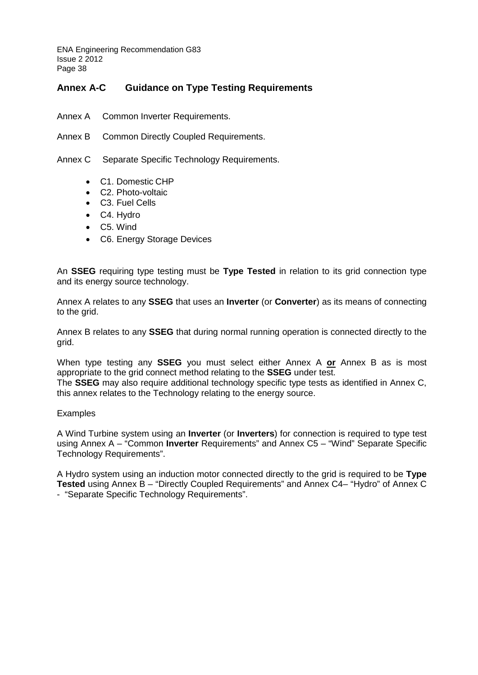## **Annex A-C Guidance on Type Testing Requirements**

- Annex A Common Inverter Requirements.
- Annex B Common Directly Coupled Requirements.

Annex C Separate Specific Technology Requirements.

- C1. Domestic CHP
- C<sub>2</sub>. Photo-voltaic
- C3. Fuel Cells
- C4. Hydro
- C5. Wind
- C6. Energy Storage Devices

An **SSEG** requiring type testing must be **Type Tested** in relation to its grid connection type and its energy source technology.

Annex A relates to any **SSEG** that uses an **Inverter** (or **Converter**) as its means of connecting to the grid.

Annex B relates to any **SSEG** that during normal running operation is connected directly to the grid.

When type testing any **SSEG** you must select either Annex A **or** Annex B as is most appropriate to the grid connect method relating to the **SSEG** under test.

The **SSEG** may also require additional technology specific type tests as identified in Annex C, this annex relates to the Technology relating to the energy source.

#### Examples

A Wind Turbine system using an **Inverter** (or **Inverters**) for connection is required to type test using Annex A – "Common **Inverter** Requirements" and Annex C5 – "Wind" Separate Specific Technology Requirements".

A Hydro system using an induction motor connected directly to the grid is required to be **Type Tested** using Annex B – "Directly Coupled Requirements" and Annex C4– "Hydro" of Annex C - "Separate Specific Technology Requirements".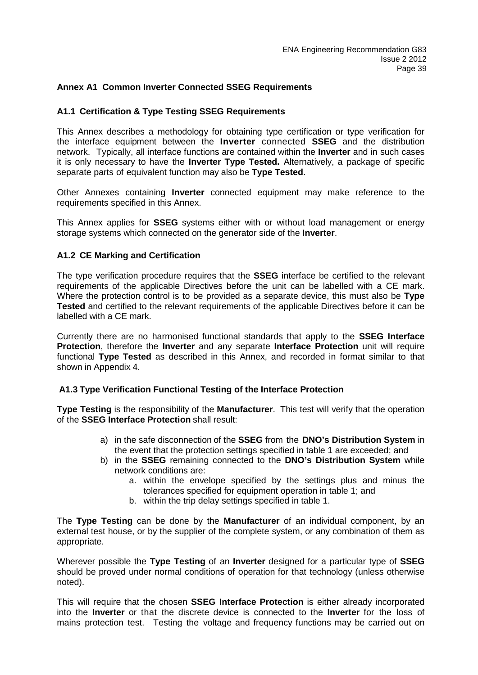## **Annex A1 Common Inverter Connected SSEG Requirements**

## **A1.1 Certification & Type Testing SSEG Requirements**

This Annex describes a methodology for obtaining type certification or type verification for the interface equipment between the **Inverter** connected **SSEG** and the distribution network. Typically, all interface functions are contained within the **Inverter** and in such cases it is only necessary to have the **Inverter Type Tested.** Alternatively, a package of specific separate parts of equivalent function may also be **Type Tested**.

Other Annexes containing **Inverter** connected equipment may make reference to the requirements specified in this Annex.

This Annex applies for **SSEG** systems either with or without load management or energy storage systems which connected on the generator side of the **Inverter**.

## **A1.2 CE Marking and Certification**

The type verification procedure requires that the **SSEG** interface be certified to the relevant requirements of the applicable Directives before the unit can be labelled with a CE mark. Where the protection control is to be provided as a separate device, this must also be **Type Tested** and certified to the relevant requirements of the applicable Directives before it can be labelled with a CE mark.

Currently there are no harmonised functional standards that apply to the **SSEG Interface Protection**, therefore the **Inverter** and any separate **Interface Protection** unit will require functional **Type Tested** as described in this Annex, and recorded in format similar to that shown in Appendix 4.

## **A1.3 Type Verification Functional Testing of the Interface Protection**

**Type Testing** is the responsibility of the **Manufacturer**. This test will verify that the operation of the **SSEG Interface Protection** shall result:

- a) in the safe disconnection of the **SSEG** from the **DNO's Distribution System** in the event that the protection settings specified in table 1 are exceeded; and
- b) in the **SSEG** remaining connected to the **DNO's Distribution System** while network conditions are:
	- a. within the envelope specified by the settings plus and minus the tolerances specified for equipment operation in table 1; and
	- b. within the trip delay settings specified in table 1.

The **Type Testing** can be done by the **Manufacturer** of an individual component, by an external test house, or by the supplier of the complete system, or any combination of them as appropriate.

Wherever possible the **Type Testing** of an **Inverter** designed for a particular type of **SSEG** should be proved under normal conditions of operation for that technology (unless otherwise noted).

This will require that the chosen **SSEG Interface Protection** is either already incorporated into the **Inverter** or that the discrete device is connected to the **Inverter** for the loss of mains protection test. Testing the voltage and frequency functions may be carried out on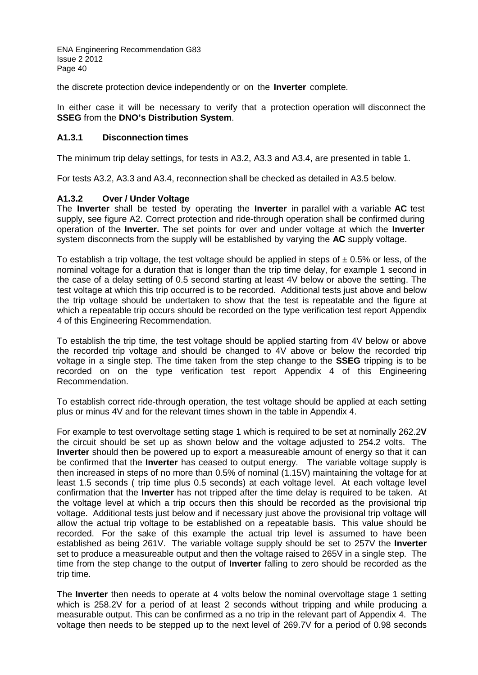the discrete protection device independently or on the **Inverter** complete.

In either case it will be necessary to verify that a protection operation will disconnect the **SSEG** from the **DNO's Distribution System**.

## **A1.3.1 Disconnection times**

The minimum trip delay settings, for tests in A3.2, A3.3 and A3.4, are presented in table 1.

For tests A3.2, A3.3 and A3.4, reconnection shall be checked as detailed in A3.5 below.

## **A1.3.2 Over / Under Voltage**

The **Inverter** shall be tested by operating the **Inverter** in parallel with a variable **AC** test supply, see figure A2. Correct protection and ride-through operation shall be confirmed during operation of the **Inverter.** The set points for over and under voltage at which the **Inverter** system disconnects from the supply will be established by varying the **AC** supply voltage.

To establish a trip voltage, the test voltage should be applied in steps of  $\pm$  0.5% or less, of the nominal voltage for a duration that is longer than the trip time delay, for example 1 second in the case of a delay setting of 0.5 second starting at least 4V below or above the setting. The test voltage at which this trip occurred is to be recorded. Additional tests just above and below the trip voltage should be undertaken to show that the test is repeatable and the figure at which a repeatable trip occurs should be recorded on the type verification test report Appendix 4 of this Engineering Recommendation.

To establish the trip time, the test voltage should be applied starting from 4V below or above the recorded trip voltage and should be changed to 4V above or below the recorded trip voltage in a single step. The time taken from the step change to the **SSEG** tripping is to be recorded on on the type verification test report Appendix 4 of this Engineering Recommendation.

To establish correct ride-through operation, the test voltage should be applied at each setting plus or minus 4V and for the relevant times shown in the table in Appendix 4.

For example to test overvoltage setting stage 1 which is required to be set at nominally 262.2**V** the circuit should be set up as shown below and the voltage adjusted to 254.2 volts. The **Inverter** should then be powered up to export a measureable amount of energy so that it can be confirmed that the **Inverter** has ceased to output energy. The variable voltage supply is then increased in steps of no more than 0.5% of nominal (1.15V) maintaining the voltage for at least 1.5 seconds ( trip time plus 0.5 seconds) at each voltage level. At each voltage level confirmation that the **Inverter** has not tripped after the time delay is required to be taken. At the voltage level at which a trip occurs then this should be recorded as the provisional trip voltage. Additional tests just below and if necessary just above the provisional trip voltage will allow the actual trip voltage to be established on a repeatable basis. This value should be recorded. For the sake of this example the actual trip level is assumed to have been established as being 261V. The variable voltage supply should be set to 257V the **Inverter**  set to produce a measureable output and then the voltage raised to 265V in a single step. The time from the step change to the output of **Inverter** falling to zero should be recorded as the trip time.

The **Inverter** then needs to operate at 4 volts below the nominal overvoltage stage 1 setting which is 258.2V for a period of at least 2 seconds without tripping and while producing a measurable output. This can be confirmed as a no trip in the relevant part of Appendix 4. The voltage then needs to be stepped up to the next level of 269.7V for a period of 0.98 seconds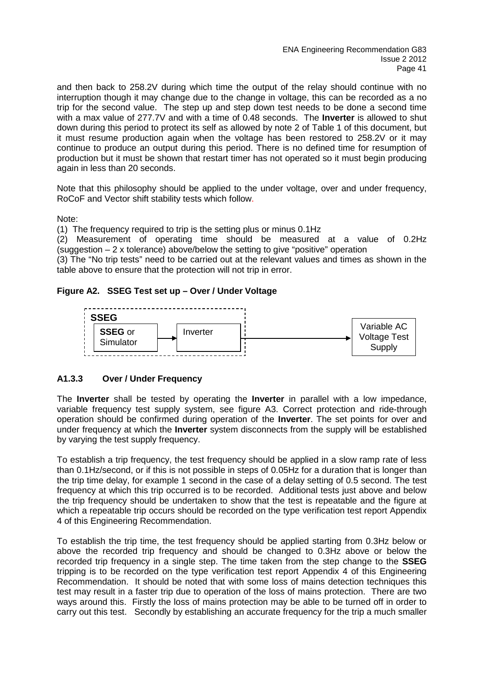and then back to 258.2V during which time the output of the relay should continue with no interruption though it may change due to the change in voltage, this can be recorded as a no trip for the second value. The step up and step down test needs to be done a second time with a max value of 277.7V and with a time of 0.48 seconds. The **Inverter** is allowed to shut down during this period to protect its self as allowed by note 2 of Table 1 of this document, but it must resume production again when the voltage has been restored to 258.2V or it may continue to produce an output during this period. There is no defined time for resumption of production but it must be shown that restart timer has not operated so it must begin producing again in less than 20 seconds.

Note that this philosophy should be applied to the under voltage, over and under frequency, RoCoF and Vector shift stability tests which follow.

Note:

(1) The frequency required to trip is the setting plus or minus 0.1Hz

(2) Measurement of operating time should be measured at a value of 0.2Hz (suggestion  $-2x$  tolerance) above/below the setting to give "positive" operation

(3) The "No trip tests" need to be carried out at the relevant values and times as shown in the table above to ensure that the protection will not trip in error.

## **Figure A2. SSEG Test set up – Over / Under Voltage**



## **A1.3.3 Over / Under Frequency**

The **Inverter** shall be tested by operating the **Inverter** in parallel with a low impedance, variable frequency test supply system, see figure A3. Correct protection and ride-through operation should be confirmed during operation of the **Inverter**. The set points for over and under frequency at which the **Inverter** system disconnects from the supply will be established by varying the test supply frequency.

To establish a trip frequency, the test frequency should be applied in a slow ramp rate of less than 0.1Hz/second, or if this is not possible in steps of 0.05Hz for a duration that is longer than the trip time delay, for example 1 second in the case of a delay setting of 0.5 second. The test frequency at which this trip occurred is to be recorded. Additional tests just above and below the trip frequency should be undertaken to show that the test is repeatable and the figure at which a repeatable trip occurs should be recorded on the type verification test report Appendix 4 of this Engineering Recommendation.

To establish the trip time, the test frequency should be applied starting from 0.3Hz below or above the recorded trip frequency and should be changed to 0.3Hz above or below the recorded trip frequency in a single step. The time taken from the step change to the **SSEG** tripping is to be recorded on the type verification test report Appendix 4 of this Engineering Recommendation. It should be noted that with some loss of mains detection techniques this test may result in a faster trip due to operation of the loss of mains protection. There are two ways around this. Firstly the loss of mains protection may be able to be turned off in order to carry out this test. Secondly by establishing an accurate frequency for the trip a much smaller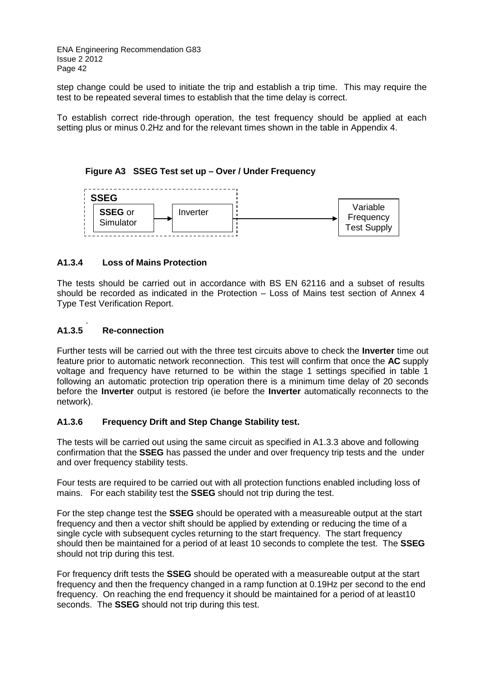step change could be used to initiate the trip and establish a trip time. This may require the test to be repeated several times to establish that the time delay is correct.

To establish correct ride-through operation, the test frequency should be applied at each setting plus or minus 0.2Hz and for the relevant times shown in the table in Appendix 4.

## **Figure A3 SSEG Test set up – Over / Under Frequency**



## **A1.3.4 Loss of Mains Protection**

The tests should be carried out in accordance with BS EN 62116 and a subset of results should be recorded as indicated in the Protection – Loss of Mains test section of Annex 4 Type Test Verification Report.

#### A<sub>1.3.5</sub> **A1.3.5 Re-connection**

Further tests will be carried out with the three test circuits above to check the **Inverter** time out feature prior to automatic network reconnection. This test will confirm that once the **AC** supply voltage and frequency have returned to be within the stage 1 settings specified in table 1 following an automatic protection trip operation there is a minimum time delay of 20 seconds before the **Inverter** output is restored (ie before the **Inverter** automatically reconnects to the network).

## **A1.3.6 Frequency Drift and Step Change Stability test.**

The tests will be carried out using the same circuit as specified in A1.3.3 above and following confirmation that the **SSEG** has passed the under and over frequency trip tests and the under and over frequency stability tests.

Four tests are required to be carried out with all protection functions enabled including loss of mains. For each stability test the **SSEG** should not trip during the test.

For the step change test the **SSEG** should be operated with a measureable output at the start frequency and then a vector shift should be applied by extending or reducing the time of a single cycle with subsequent cycles returning to the start frequency. The start frequency should then be maintained for a period of at least 10 seconds to complete the test. The **SSEG** should not trip during this test.

For frequency drift tests the **SSEG** should be operated with a measureable output at the start frequency and then the frequency changed in a ramp function at 0.19Hz per second to the end frequency. On reaching the end frequency it should be maintained for a period of at least10 seconds. The **SSEG** should not trip during this test.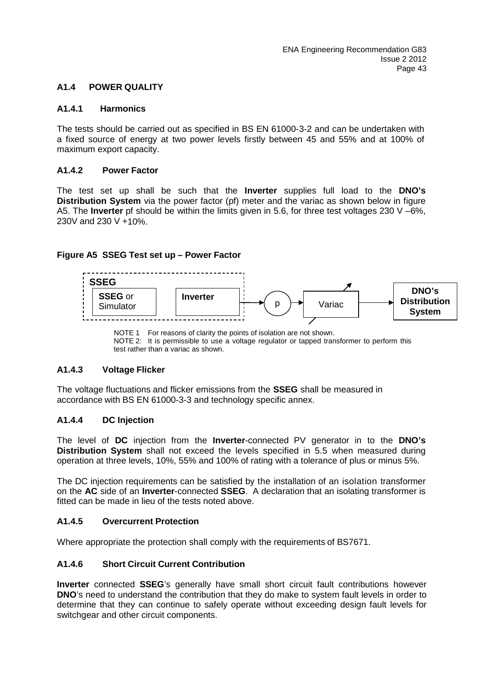## **A1.4 POWER QUALITY**

#### **A1.4.1 Harmonics**

The tests should be carried out as specified in BS EN 61000-3-2 and can be undertaken with a fixed source of energy at two power levels firstly between 45 and 55% and at 100% of maximum export capacity.

## **A1.4.2 Power Factor**

The test set up shall be such that the **Inverter** supplies full load to the **DNO's Distribution System** via the power factor (pf) meter and the variac as shown below in figure A5. The **Inverter** pf should be within the limits given in 5.6, for three test voltages 230 V –6%, 230V and 230 V +10%.

#### **Figure A5 SSEG Test set up – Power Factor**



NOTE 1 For reasons of clarity the points of isolation are not shown. NOTE 2: It is permissible to use a voltage regulator or tapped transformer to perform this test rather than a variac as shown.

## **A1.4.3 Voltage Flicker**

The voltage fluctuations and flicker emissions from the **SSEG** shall be measured in accordance with BS EN 61000-3-3 and technology specific annex.

## **A1.4.4 DC Injection**

The level of **DC** injection from the **Inverter**-connected PV generator in to the **DNO's Distribution System** shall not exceed the levels specified in 5.5 when measured during operation at three levels, 10%, 55% and 100% of rating with a tolerance of plus or minus 5%.

The DC injection requirements can be satisfied by the installation of an isolation transformer on the **AC** side of an **Inverter**-connected **SSEG**. A declaration that an isolating transformer is fitted can be made in lieu of the tests noted above.

#### **A1.4.5 Overcurrent Protection**

Where appropriate the protection shall comply with the requirements of BS7671.

#### **A1.4.6 Short Circuit Current Contribution**

**Inverter** connected **SSEG**'s generally have small short circuit fault contributions however **DNO**'s need to understand the contribution that they do make to system fault levels in order to determine that they can continue to safely operate without exceeding design fault levels for switchgear and other circuit components.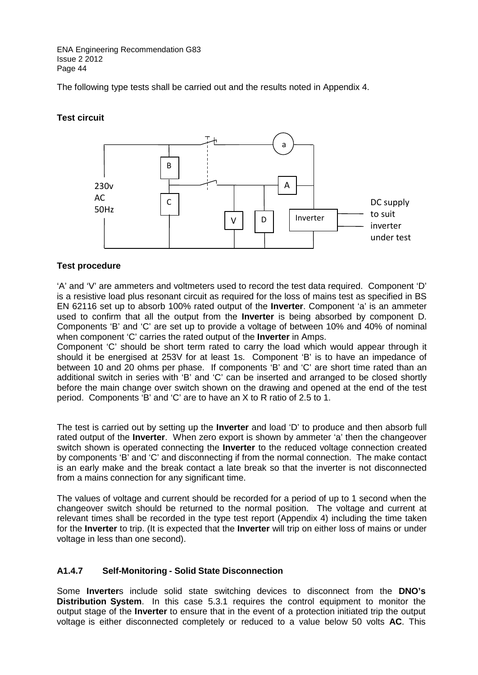The following type tests shall be carried out and the results noted in Appendix 4.

## **Test circuit**



## **Test procedure**

'A' and 'V' are ammeters and voltmeters used to record the test data required. Component 'D' is a resistive load plus resonant circuit as required for the loss of mains test as specified in BS EN 62116 set up to absorb 100% rated output of the **Inverter**. Component 'a' is an ammeter used to confirm that all the output from the **Inverter** is being absorbed by component D. Components 'B' and 'C' are set up to provide a voltage of between 10% and 40% of nominal when component 'C' carries the rated output of the **Inverter** in Amps.

Component 'C' should be short term rated to carry the load which would appear through it should it be energised at 253V for at least 1s. Component 'B' is to have an impedance of between 10 and 20 ohms per phase. If components 'B' and 'C' are short time rated than an additional switch in series with 'B' and 'C' can be inserted and arranged to be closed shortly before the main change over switch shown on the drawing and opened at the end of the test period. Components 'B' and 'C' are to have an X to R ratio of 2.5 to 1.

The test is carried out by setting up the **Inverter** and load 'D' to produce and then absorb full rated output of the **Inverter**. When zero export is shown by ammeter 'a' then the changeover switch shown is operated connecting the **Inverter** to the reduced voltage connection created by components 'B' and 'C' and disconnecting if from the normal connection. The make contact is an early make and the break contact a late break so that the inverter is not disconnected from a mains connection for any significant time.

The values of voltage and current should be recorded for a period of up to 1 second when the changeover switch should be returned to the normal position. The voltage and current at relevant times shall be recorded in the type test report (Appendix 4) including the time taken for the **Inverter** to trip. (It is expected that the **Inverter** will trip on either loss of mains or under voltage in less than one second).

## **A1.4.7 Self-Monitoring - Solid State Disconnection**

Some **Inverter**s include solid state switching devices to disconnect from the **DNO's Distribution System**. In this case 5.3.1 requires the control equipment to monitor the output stage of the **Inverter** to ensure that in the event of a protection initiated trip the output voltage is either disconnected completely or reduced to a value below 50 volts **AC**. This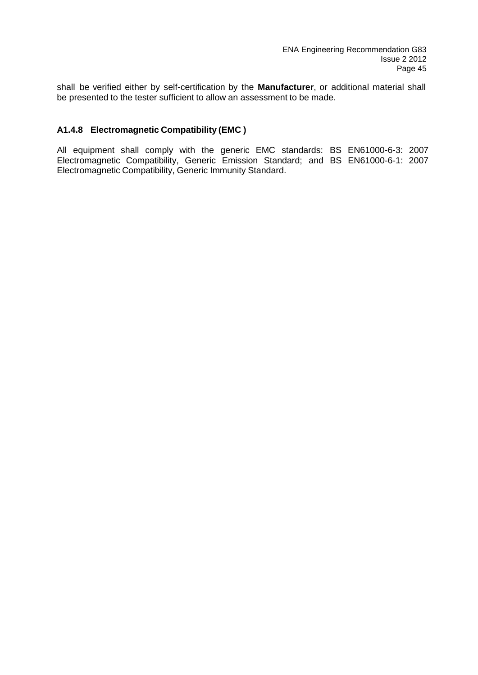shall be verified either by self-certification by the **Manufacturer**, or additional material shall be presented to the tester sufficient to allow an assessment to be made.

## **A1.4.8 Electromagnetic Compatibility (EMC )**

All equipment shall comply with the generic EMC standards: BS EN61000-6-3: 2007 Electromagnetic Compatibility, Generic Emission Standard; and BS EN61000-6-1: 2007 Electromagnetic Compatibility, Generic Immunity Standard.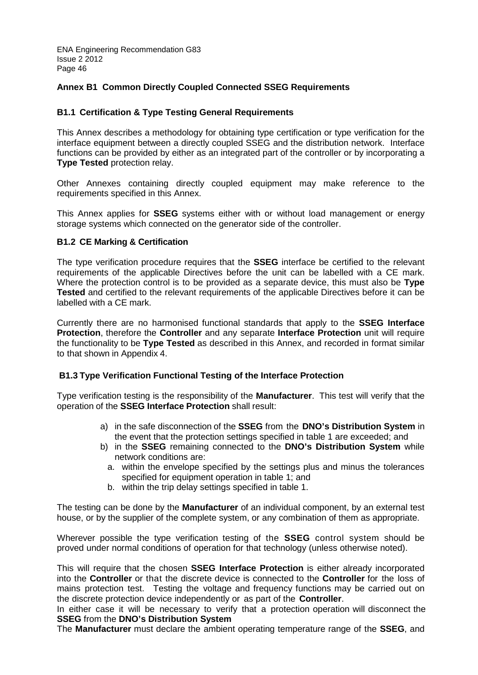## **Annex B1 Common Directly Coupled Connected SSEG Requirements**

## **B1.1 Certification & Type Testing General Requirements**

This Annex describes a methodology for obtaining type certification or type verification for the interface equipment between a directly coupled SSEG and the distribution network. Interface functions can be provided by either as an integrated part of the controller or by incorporating a **Type Tested** protection relay.

Other Annexes containing directly coupled equipment may make reference to the requirements specified in this Annex.

This Annex applies for **SSEG** systems either with or without load management or energy storage systems which connected on the generator side of the controller.

#### **B1.2 CE Marking & Certification**

The type verification procedure requires that the **SSEG** interface be certified to the relevant requirements of the applicable Directives before the unit can be labelled with a CE mark. Where the protection control is to be provided as a separate device, this must also be **Type Tested** and certified to the relevant requirements of the applicable Directives before it can be labelled with a CE mark.

Currently there are no harmonised functional standards that apply to the **SSEG Interface Protection**, therefore the **Controller** and any separate **Interface Protection** unit will require the functionality to be **Type Tested** as described in this Annex, and recorded in format similar to that shown in Appendix 4.

## **B1.3 Type Verification Functional Testing of the Interface Protection**

Type verification testing is the responsibility of the **Manufacturer**. This test will verify that the operation of the **SSEG Interface Protection** shall result:

- a) in the safe disconnection of the **SSEG** from the **DNO's Distribution System** in the event that the protection settings specified in table 1 are exceeded; and
- b) in the **SSEG** remaining connected to the **DNO's Distribution System** while network conditions are:
	- a. within the envelope specified by the settings plus and minus the tolerances specified for equipment operation in table 1; and
	- b. within the trip delay settings specified in table 1.

The testing can be done by the **Manufacturer** of an individual component, by an external test house, or by the supplier of the complete system, or any combination of them as appropriate.

Wherever possible the type verification testing of the **SSEG** control system should be proved under normal conditions of operation for that technology (unless otherwise noted).

This will require that the chosen **SSEG Interface Protection** is either already incorporated into the **Controller** or that the discrete device is connected to the **Controller** for the loss of mains protection test. Testing the voltage and frequency functions may be carried out on the discrete protection device independently or as part of the **Controller**.

In either case it will be necessary to verify that a protection operation will disconnect the **SSEG** from the **DNO's Distribution System**

The **Manufacturer** must declare the ambient operating temperature range of the **SSEG**, and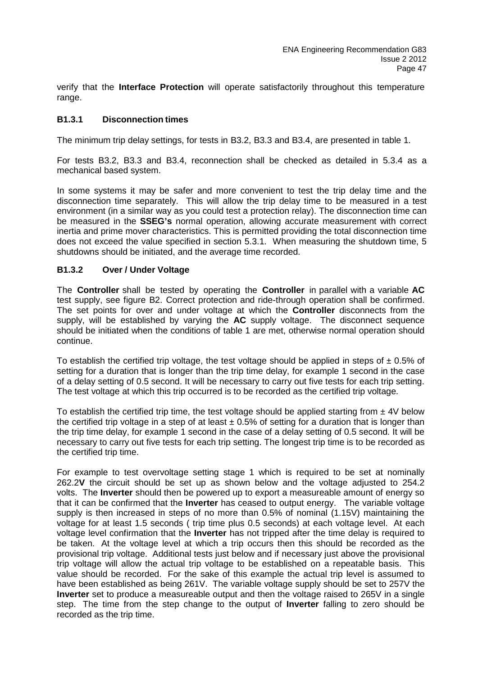verify that the **Interface Protection** will operate satisfactorily throughout this temperature range.

## **B1.3.1 Disconnection times**

The minimum trip delay settings, for tests in B3.2, B3.3 and B3.4, are presented in table 1.

For tests B3.2, B3.3 and B3.4, reconnection shall be checked as detailed in 5.3.4 as a mechanical based system.

In some systems it may be safer and more convenient to test the trip delay time and the disconnection time separately. This will allow the trip delay time to be measured in a test environment (in a similar way as you could test a protection relay). The disconnection time can be measured in the **SSEG's** normal operation, allowing accurate measurement with correct inertia and prime mover characteristics. This is permitted providing the total disconnection time does not exceed the value specified in section 5.3.1. When measuring the shutdown time, 5 shutdowns should be initiated, and the average time recorded.

## **B1.3.2 Over / Under Voltage**

The **Controller** shall be tested by operating the **Controller** in parallel with a variable **AC** test supply, see figure B2. Correct protection and ride-through operation shall be confirmed. The set points for over and under voltage at which the **Controller** disconnects from the supply, will be established by varying the **AC** supply voltage. The disconnect sequence should be initiated when the conditions of table 1 are met, otherwise normal operation should continue.

To establish the certified trip voltage, the test voltage should be applied in steps of  $\pm$  0.5% of setting for a duration that is longer than the trip time delay, for example 1 second in the case of a delay setting of 0.5 second. It will be necessary to carry out five tests for each trip setting. The test voltage at which this trip occurred is to be recorded as the certified trip voltage.

To establish the certified trip time, the test voltage should be applied starting from  $\pm$  4V below the certified trip voltage in a step of at least  $\pm$  0.5% of setting for a duration that is longer than the trip time delay, for example 1 second in the case of a delay setting of 0.5 second. It will be necessary to carry out five tests for each trip setting. The longest trip time is to be recorded as the certified trip time.

For example to test overvoltage setting stage 1 which is required to be set at nominally 262.2**V** the circuit should be set up as shown below and the voltage adjusted to 254.2 volts. The **Inverter** should then be powered up to export a measureable amount of energy so that it can be confirmed that the **Inverter** has ceased to output energy. The variable voltage supply is then increased in steps of no more than 0.5% of nominal (1.15V) maintaining the voltage for at least 1.5 seconds ( trip time plus 0.5 seconds) at each voltage level. At each voltage level confirmation that the **Inverter** has not tripped after the time delay is required to be taken. At the voltage level at which a trip occurs then this should be recorded as the provisional trip voltage. Additional tests just below and if necessary just above the provisional trip voltage will allow the actual trip voltage to be established on a repeatable basis. This value should be recorded. For the sake of this example the actual trip level is assumed to have been established as being 261V. The variable voltage supply should be set to 257V the **Inverter** set to produce a measureable output and then the voltage raised to 265V in a single step. The time from the step change to the output of **Inverter** falling to zero should be recorded as the trip time.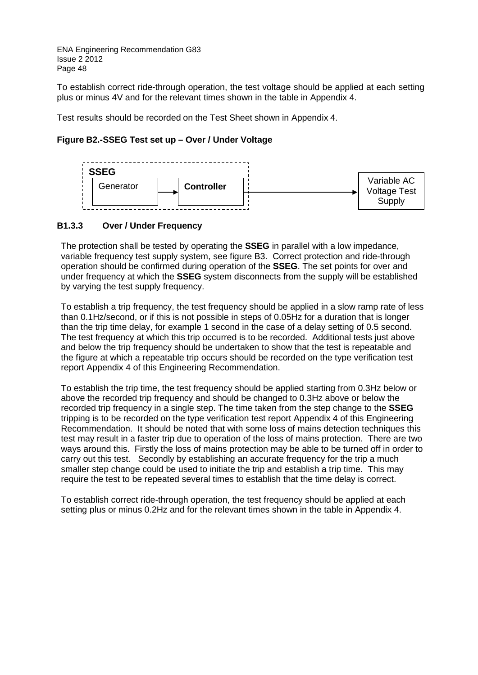To establish correct ride-through operation, the test voltage should be applied at each setting plus or minus 4V and for the relevant times shown in the table in Appendix 4.

Test results should be recorded on the Test Sheet shown in Appendix 4.

## **Figure B2.-SSEG Test set up – Over / Under Voltage**



## **B1.3.3 Over / Under Frequency**

The protection shall be tested by operating the **SSEG** in parallel with a low impedance, variable frequency test supply system, see figure B3. Correct protection and ride-through operation should be confirmed during operation of the **SSEG**. The set points for over and under frequency at which the **SSEG** system disconnects from the supply will be established by varying the test supply frequency.

To establish a trip frequency, the test frequency should be applied in a slow ramp rate of less than 0.1Hz/second, or if this is not possible in steps of 0.05Hz for a duration that is longer than the trip time delay, for example 1 second in the case of a delay setting of 0.5 second. The test frequency at which this trip occurred is to be recorded. Additional tests just above and below the trip frequency should be undertaken to show that the test is repeatable and the figure at which a repeatable trip occurs should be recorded on the type verification test report Appendix 4 of this Engineering Recommendation.

To establish the trip time, the test frequency should be applied starting from 0.3Hz below or above the recorded trip frequency and should be changed to 0.3Hz above or below the recorded trip frequency in a single step. The time taken from the step change to the **SSEG** tripping is to be recorded on the type verification test report Appendix 4 of this Engineering Recommendation. It should be noted that with some loss of mains detection techniques this test may result in a faster trip due to operation of the loss of mains protection. There are two ways around this. Firstly the loss of mains protection may be able to be turned off in order to carry out this test. Secondly by establishing an accurate frequency for the trip a much smaller step change could be used to initiate the trip and establish a trip time. This may require the test to be repeated several times to establish that the time delay is correct.

To establish correct ride-through operation, the test frequency should be applied at each setting plus or minus 0.2Hz and for the relevant times shown in the table in Appendix 4.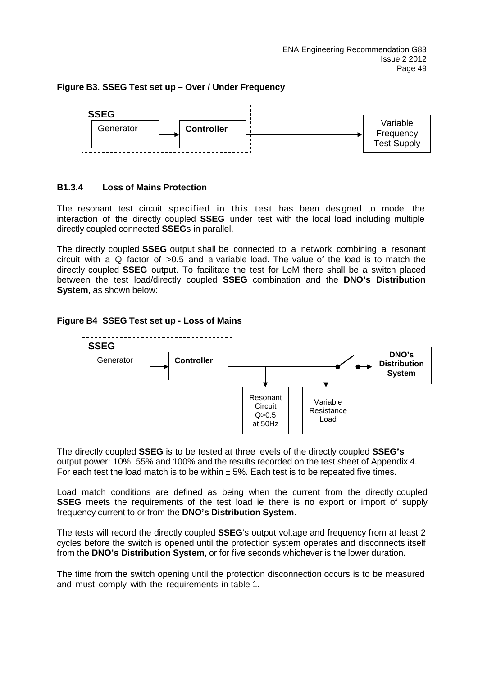## **Figure B3. SSEG Test set up – Over / Under Frequency**



## **B1.3.4 Loss of Mains Protection**

The resonant test circuit specified in this test has been designed to model the interaction of the directly coupled **SSEG** under test with the local load including multiple directly coupled connected **SSEG**s in parallel.

The directly coupled **SSEG** output shall be connected to a network combining a resonant circuit with a Q factor of >0.5 and a variable load. The value of the load is to match the directly coupled **SSEG** output. To facilitate the test for LoM there shall be a switch placed between the test load/directly coupled **SSEG** combination and the **DNO's Distribution System**, as shown below:

## **Figure B4 SSEG Test set up - Loss of Mains**



The directly coupled **SSEG** is to be tested at three levels of the directly coupled **SSEG's** output power: 10%, 55% and 100% and the results recorded on the test sheet of Appendix 4. For each test the load match is to be within  $\pm$  5%. Each test is to be repeated five times.

Load match conditions are defined as being when the current from the directly coupled **SSEG** meets the requirements of the test load ie there is no export or import of supply frequency current to or from the **DNO's Distribution System**.

The tests will record the directly coupled **SSEG**'s output voltage and frequency from at least 2 cycles before the switch is opened until the protection system operates and disconnects itself from the **DNO's Distribution System**, or for five seconds whichever is the lower duration.

The time from the switch opening until the protection disconnection occurs is to be measured and must comply with the requirements in table 1.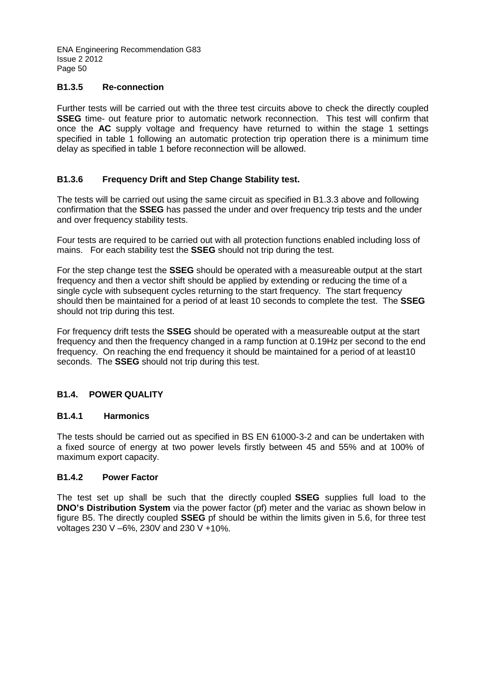## **B1.3.5 Re-connection**

Further tests will be carried out with the three test circuits above to check the directly coupled **SSEG** time- out feature prior to automatic network reconnection. This test will confirm that once the **AC** supply voltage and frequency have returned to within the stage 1 settings specified in table 1 following an automatic protection trip operation there is a minimum time delay as specified in table 1 before reconnection will be allowed.

## **B1.3.6 Frequency Drift and Step Change Stability test.**

The tests will be carried out using the same circuit as specified in B1.3.3 above and following confirmation that the **SSEG** has passed the under and over frequency trip tests and the under and over frequency stability tests.

Four tests are required to be carried out with all protection functions enabled including loss of mains. For each stability test the **SSEG** should not trip during the test.

For the step change test the **SSEG** should be operated with a measureable output at the start frequency and then a vector shift should be applied by extending or reducing the time of a single cycle with subsequent cycles returning to the start frequency. The start frequency should then be maintained for a period of at least 10 seconds to complete the test. The **SSEG** should not trip during this test.

For frequency drift tests the **SSEG** should be operated with a measureable output at the start frequency and then the frequency changed in a ramp function at 0.19Hz per second to the end frequency. On reaching the end frequency it should be maintained for a period of at least10 seconds. The **SSEG** should not trip during this test.

## **B1.4. POWER QUALITY**

## **B1.4.1 Harmonics**

The tests should be carried out as specified in BS EN 61000-3-2 and can be undertaken with a fixed source of energy at two power levels firstly between 45 and 55% and at 100% of maximum export capacity.

## **B1.4.2 Power Factor**

The test set up shall be such that the directly coupled **SSEG** supplies full load to the **DNO's Distribution System** via the power factor (pf) meter and the variac as shown below in figure B5. The directly coupled **SSEG** pf should be within the limits given in 5.6, for three test voltages 230 V –6%, 230V and 230 V +10%.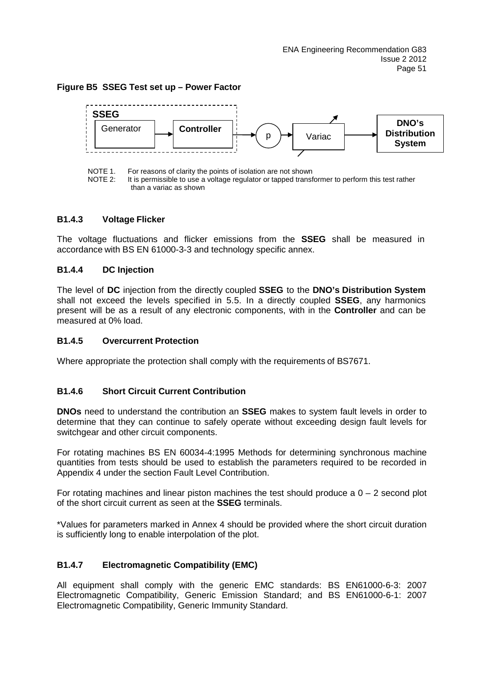## **Figure B5 SSEG Test set up – Power Factor**



NOTE 1. For reasons of clarity the points of isolation are not shown<br>NOTE 2: It is permissible to use a voltage regulator or tapped transf It is permissible to use a voltage regulator or tapped transformer to perform this test rather than a variac as shown

#### **B1.4.3 Voltage Flicker**

The voltage fluctuations and flicker emissions from the **SSEG** shall be measured in accordance with BS EN 61000-3-3 and technology specific annex.

## **B1.4.4 DC Injection**

The level of **DC** injection from the directly coupled **SSEG** to the **DNO's Distribution System** shall not exceed the levels specified in 5.5. In a directly coupled **SSEG**, any harmonics present will be as a result of any electronic components, with in the **Controller** and can be measured at 0% load.

## **B1.4.5 Overcurrent Protection**

Where appropriate the protection shall comply with the requirements of BS7671.

## **B1.4.6 Short Circuit Current Contribution**

**DNOs** need to understand the contribution an **SSEG** makes to system fault levels in order to determine that they can continue to safely operate without exceeding design fault levels for switchgear and other circuit components.

For rotating machines BS EN 60034-4:1995 Methods for determining synchronous machine quantities from tests should be used to establish the parameters required to be recorded in Appendix 4 under the section Fault Level Contribution.

For rotating machines and linear piston machines the test should produce a  $0 - 2$  second plot of the short circuit current as seen at the **SSEG** terminals.

\*Values for parameters marked in Annex 4 should be provided where the short circuit duration is sufficiently long to enable interpolation of the plot.

## **B1.4.7 Electromagnetic Compatibility (EMC)**

All equipment shall comply with the generic EMC standards: BS EN61000-6-3: 2007 Electromagnetic Compatibility, Generic Emission Standard; and BS EN61000-6-1: 2007 Electromagnetic Compatibility, Generic Immunity Standard.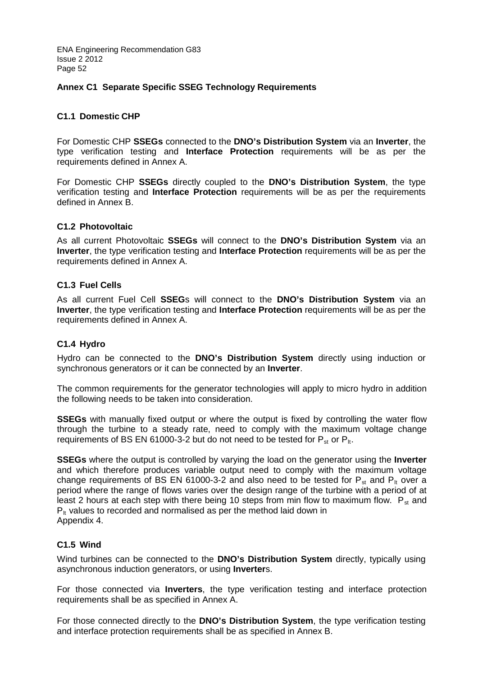## **Annex C1 Separate Specific SSEG Technology Requirements**

## **C1.1 Domestic CHP**

For Domestic CHP **SSEGs** connected to the **DNO's Distribution System** via an **Inverter**, the type verification testing and **Interface Protection** requirements will be as per the requirements defined in Annex A.

For Domestic CHP **SSEGs** directly coupled to the **DNO's Distribution System**, the type verification testing and **Interface Protection** requirements will be as per the requirements defined in Annex B.

## **C1.2 Photovoltaic**

As all current Photovoltaic **SSEGs** will connect to the **DNO's Distribution System** via an **Inverter**, the type verification testing and **Interface Protection** requirements will be as per the requirements defined in Annex A.

## **C1.3 Fuel Cells**

As all current Fuel Cell **SSEG**s will connect to the **DNO's Distribution System** via an **Inverter**, the type verification testing and **Interface Protection** requirements will be as per the requirements defined in Annex A.

## **C1.4 Hydro**

Hydro can be connected to the **DNO's Distribution System** directly using induction or synchronous generators or it can be connected by an **Inverter**.

The common requirements for the generator technologies will apply to micro hydro in addition the following needs to be taken into consideration.

**SSEGs** with manually fixed output or where the output is fixed by controlling the water flow through the turbine to a steady rate, need to comply with the maximum voltage change requirements of BS EN 61000-3-2 but do not need to be tested for  $P_{st}$  or  $P_{lt}$ .

**SSEGs** where the output is controlled by varying the load on the generator using the **Inverter** and which therefore produces variable output need to comply with the maximum voltage change requirements of BS EN 61000-3-2 and also need to be tested for  $P_{st}$  and  $P_{lt}$  over a period where the range of flows varies over the design range of the turbine with a period of at least 2 hours at each step with there being 10 steps from min flow to maximum flow.  $P_{st}$  and  $P_{\text{it}}$  values to recorded and normalised as per the method laid down in Appendix 4.

## **C1.5 Wind**

Wind turbines can be connected to the **DNO's Distribution System** directly, typically using asynchronous induction generators, or using **Inverter**s.

For those connected via **Inverters**, the type verification testing and interface protection requirements shall be as specified in Annex A.

For those connected directly to the **DNO's Distribution System**, the type verification testing and interface protection requirements shall be as specified in Annex B.